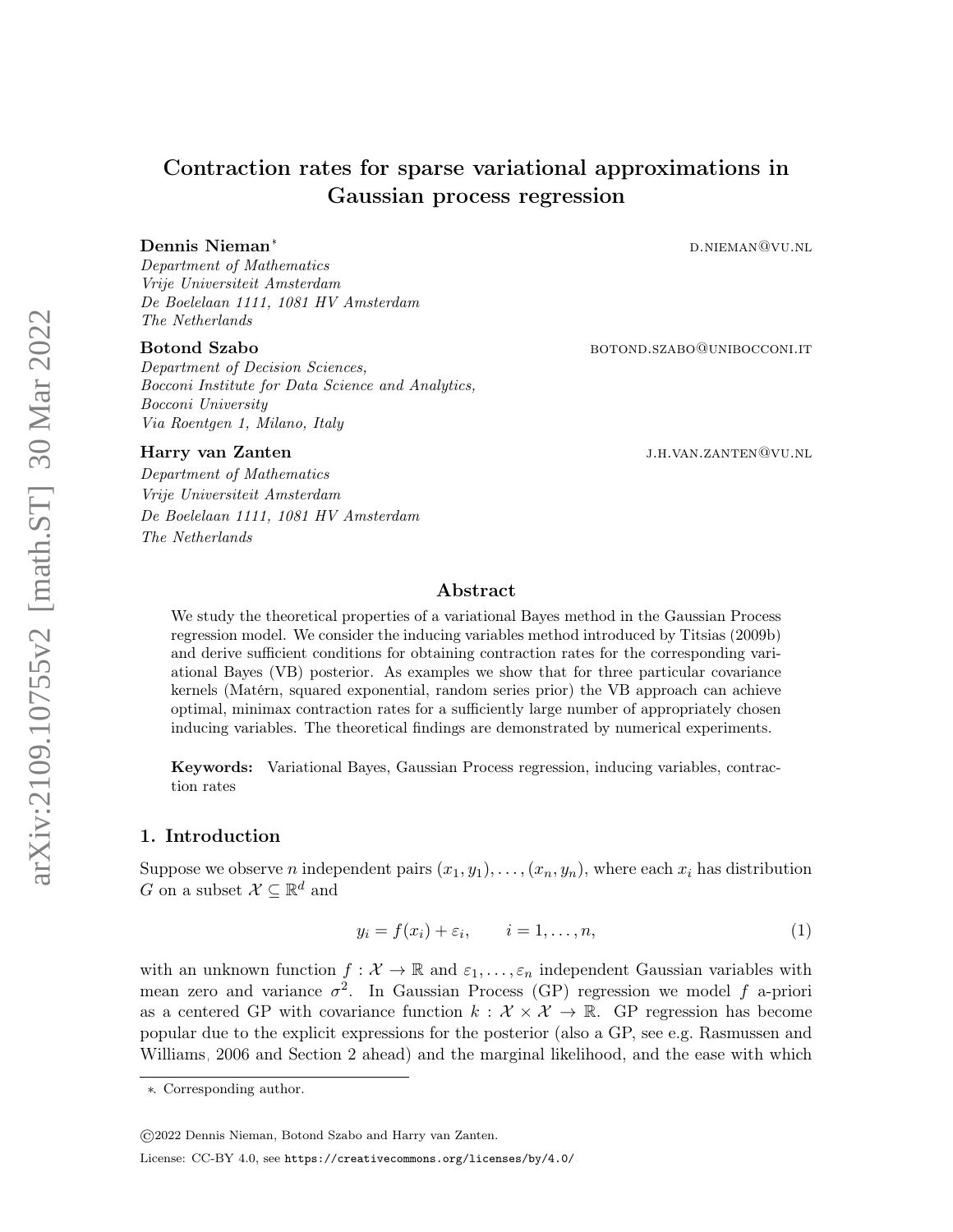# Contraction rates for sparse variational approximations in Gaussian process regression

# De[n](#page-0-0)nis Nieman<sup>∗</sup> d.nieman° d.nieman®vu.nl

Department of Mathematics Vrije Universiteit Amsterdam De Boelelaan 1111, 1081 HV Amsterdam The Netherlands

#### Botond Szabo boton boton boton botonic botonic botonic botonic botonic botonic botonic botonic botonic botonic botonic botonic botonic botonic botonic botonic botonic botonic botonic botonic botonic botonic botonic botonic

Department of Decision Sciences, Bocconi Institute for Data Science and Analytics, Bocconi University Via Roentgen 1, Milano, Italy

Department of Mathematics Vrije Universiteit Amsterdam De Boelelaan 1111, 1081 HV Amsterdam The Netherlands

Harry van Zanten jaar van die 19de eeu n.C. Soos ander die gewone jaar van die 19de eeu n.C. N.H. van Zanten (

#### Abstract

We study the theoretical properties of a variational Bayes method in the Gaussian Process regression model. We consider the inducing variables method introduced by [Titsias](#page-25-0) [\(2009b\)](#page-25-0) and derive sufficient conditions for obtaining contraction rates for the corresponding variational Bayes (VB) posterior. As examples we show that for three particular covariance kernels (Matérn, squared exponential, random series prior) the VB approach can achieve optimal, minimax contraction rates for a sufficiently large number of appropriately chosen inducing variables. The theoretical findings are demonstrated by numerical experiments.

Keywords: Variational Bayes, Gaussian Process regression, inducing variables, contraction rates

#### 1. Introduction

Suppose we observe *n* independent pairs  $(x_1, y_1), \ldots, (x_n, y_n)$ , where each  $x_i$  has distribution G on a subset  $\mathcal{X} \subseteq \mathbb{R}^d$  and

<span id="page-0-1"></span>
$$
y_i = f(x_i) + \varepsilon_i, \qquad i = 1, \dots, n,
$$
\n<sup>(1)</sup>

with an unknown function  $f: \mathcal{X} \to \mathbb{R}$  and  $\varepsilon_1, \ldots, \varepsilon_n$  independent Gaussian variables with mean zero and variance  $\sigma^2$ . In Gaussian Process (GP) regression we model f a-priori as a centered GP with covariance function  $k : \mathcal{X} \times \mathcal{X} \to \mathbb{R}$ . GP regression has become popular due to the explicit expressions for the posterior (also a GP, see e.g. [Rasmussen and](#page-24-0) [Williams, 2006](#page-24-0) and Section [2](#page-2-0) ahead) and the marginal likelihood, and the ease with which

©2022 Dennis Nieman, Botond Szabo and Harry van Zanten.

<span id="page-0-0"></span><sup>∗</sup>. Corresponding author.

License: CC-BY 4.0, see <https://creativecommons.org/licenses/by/4.0/>.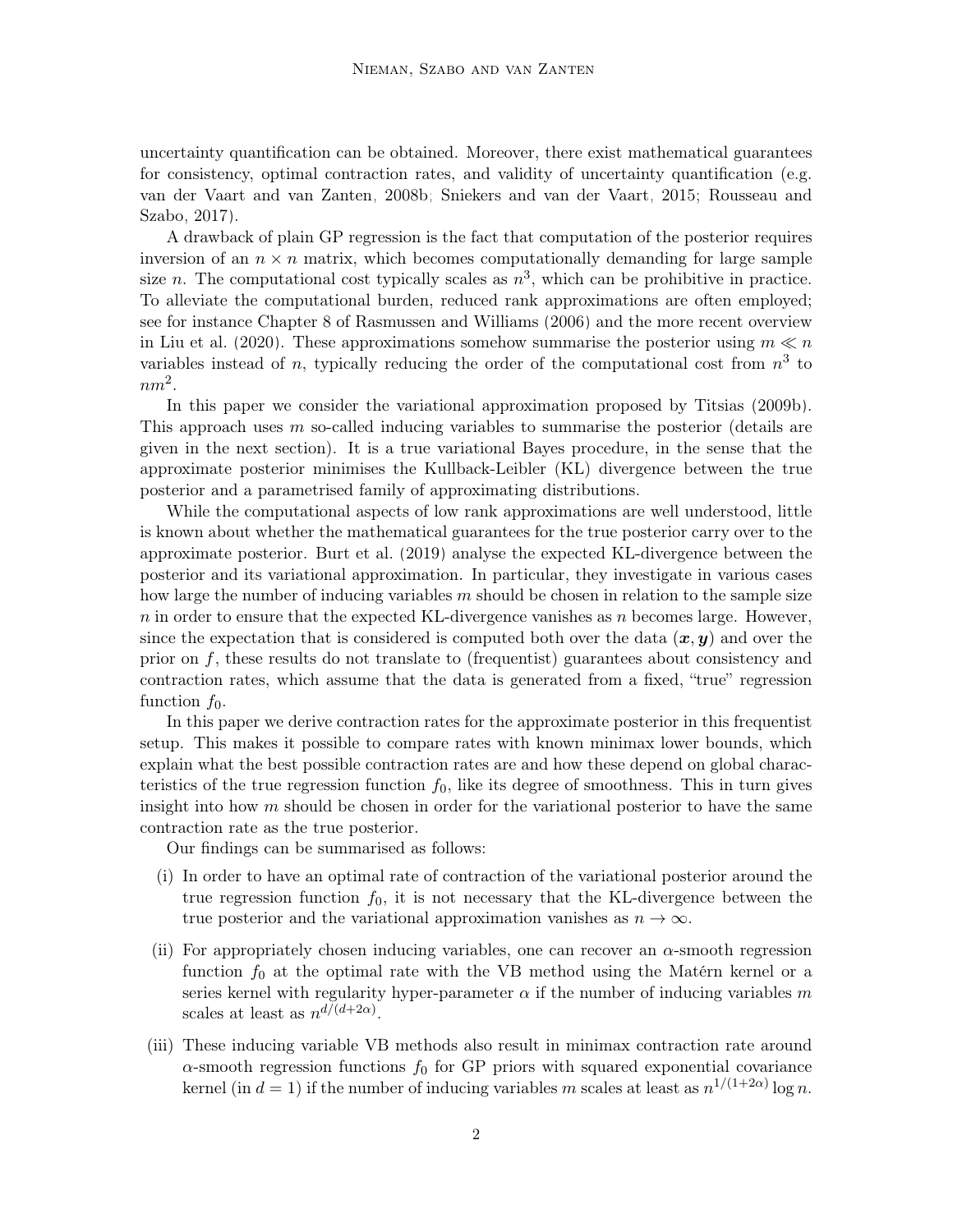uncertainty quantification can be obtained. Moreover, there exist mathematical guarantees for consistency, optimal contraction rates, and validity of uncertainty quantification (e.g. [van der Vaart and van Zanten, 2008b;](#page-25-1) [Sniekers and van der Vaart, 2015;](#page-25-2) [Rousseau and](#page-24-1) [Szabo, 2017\)](#page-24-1).

A drawback of plain GP regression is the fact that computation of the posterior requires inversion of an  $n \times n$  matrix, which becomes computationally demanding for large sample size *n*. The computational cost typically scales as  $n^3$ , which can be prohibitive in practice. To alleviate the computational burden, reduced rank approximations are often employed; see for instance Chapter 8 of [Rasmussen and Williams](#page-24-0) [\(2006\)](#page-24-0) and the more recent overview in [Liu et al.](#page-24-2) [\(2020\)](#page-24-2). These approximations somehow summarise the posterior using  $m \ll n$ variables instead of n, typically reducing the order of the computational cost from  $n^3$  to  $nm^2$ .

In this paper we consider the variational approximation proposed by [Titsias](#page-25-0) [\(2009b\)](#page-25-0). This approach uses m so-called inducing variables to summarise the posterior (details are given in the next section). It is a true variational Bayes procedure, in the sense that the approximate posterior minimises the Kullback-Leibler (KL) divergence between the true posterior and a parametrised family of approximating distributions.

While the computational aspects of low rank approximations are well understood, little is known about whether the mathematical guarantees for the true posterior carry over to the approximate posterior. [Burt et al.](#page-24-3) [\(2019\)](#page-24-3) analyse the expected KL-divergence between the posterior and its variational approximation. In particular, they investigate in various cases how large the number of inducing variables  $m$  should be chosen in relation to the sample size n in order to ensure that the expected KL-divergence vanishes as n becomes large. However, since the expectation that is considered is computed both over the data  $(x, y)$  and over the prior on  $f$ , these results do not translate to (frequentist) guarantees about consistency and contraction rates, which assume that the data is generated from a fixed, "true" regression function  $f_0$ .

In this paper we derive contraction rates for the approximate posterior in this frequentist setup. This makes it possible to compare rates with known minimax lower bounds, which explain what the best possible contraction rates are and how these depend on global characteristics of the true regression function  $f_0$ , like its degree of smoothness. This in turn gives insight into how  $m$  should be chosen in order for the variational posterior to have the same contraction rate as the true posterior.

Our findings can be summarised as follows:

- (i) In order to have an optimal rate of contraction of the variational posterior around the true regression function  $f_0$ , it is not necessary that the KL-divergence between the true posterior and the variational approximation vanishes as  $n \to \infty$ .
- (ii) For appropriately chosen inducing variables, one can recover an  $\alpha$ -smooth regression function  $f_0$  at the optimal rate with the VB method using the Matérn kernel or a series kernel with regularity hyper-parameter  $\alpha$  if the number of inducing variables m scales at least as  $n^{d/(d+2\alpha)}$ .
- (iii) These inducing variable VB methods also result in minimax contraction rate around  $\alpha$ -smooth regression functions  $f_0$  for GP priors with squared exponential covariance kernel (in  $d = 1$ ) if the number of inducing variables m scales at least as  $n^{1/(1+2\alpha)} \log n$ .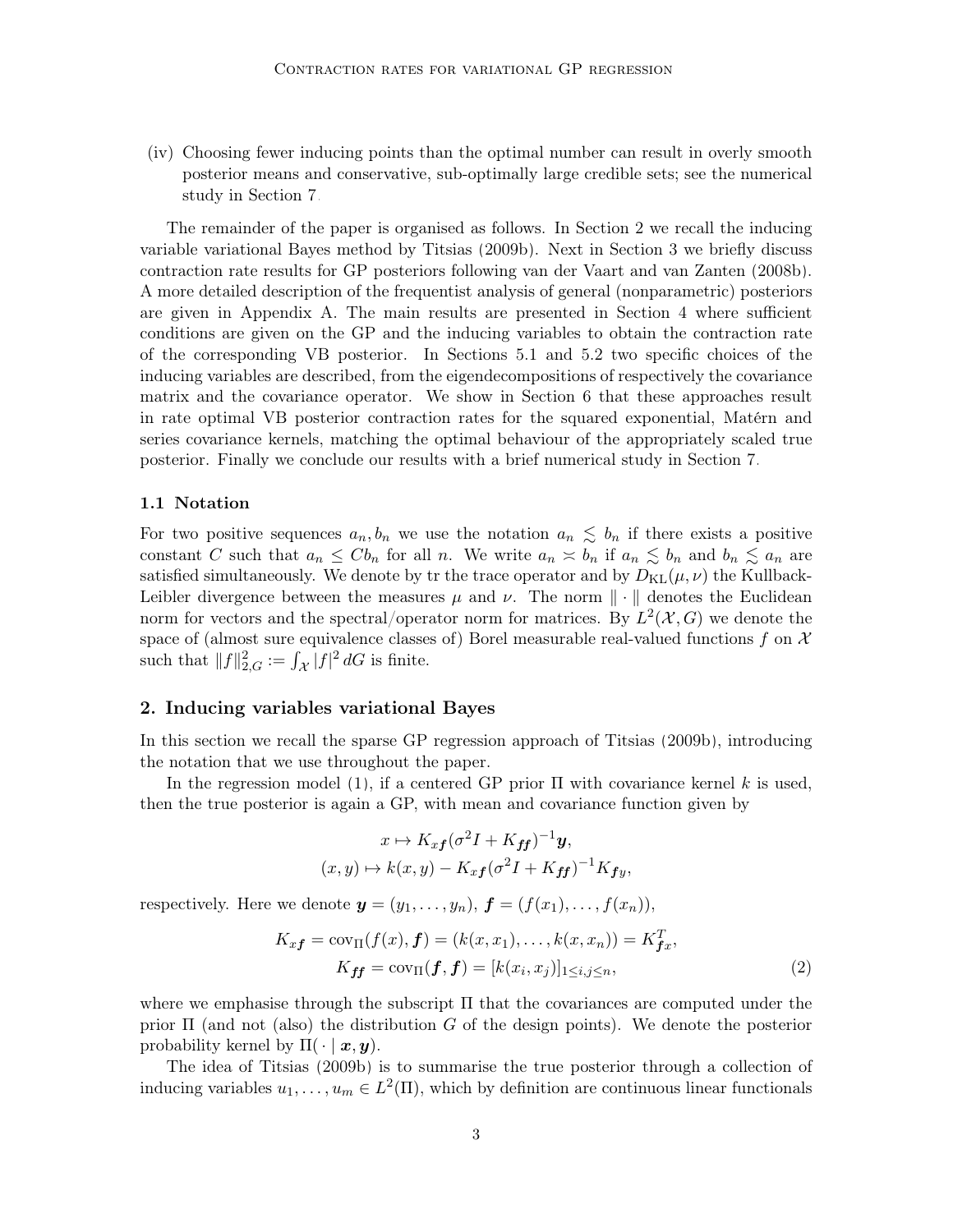(iv) Choosing fewer inducing points than the optimal number can result in overly smooth posterior means and conservative, sub-optimally large credible sets; see the numerical study in Section [7.](#page-17-0)

The remainder of the paper is organised as follows. In Section [2](#page-2-0) we recall the inducing variable variational Bayes method by [Titsias](#page-25-0) [\(2009b\)](#page-25-0). Next in Section [3](#page-4-0) we briefly discuss contraction rate results for GP posteriors following [van der Vaart and van Zanten](#page-25-1) [\(2008b\)](#page-25-1). A more detailed description of the frequentist analysis of general (nonparametric) posteriors are given in Appendix A. The main results are presented in Section [4](#page-5-0) where sufficient conditions are given on the GP and the inducing variables to obtain the contraction rate of the corresponding VB posterior. In Sections [5.1](#page-8-0) and [5.2](#page-10-0) two specific choices of the inducing variables are described, from the eigendecompositions of respectively the covariance matrix and the covariance operator. We show in Section [6](#page-13-0) that these approaches result in rate optimal VB posterior contraction rates for the squared exponential, Matérn and series covariance kernels, matching the optimal behaviour of the appropriately scaled true posterior. Finally we conclude our results with a brief numerical study in Section [7.](#page-17-0)

#### 1.1 Notation

For two positive sequences  $a_n, b_n$  we use the notation  $a_n \leq b_n$  if there exists a positive constant C such that  $a_n \leq C b_n$  for all n. We write  $a_n \approx b_n$  if  $a_n \leq b_n$  and  $b_n \leq a_n$  are satisfied simultaneously. We denote by tr the trace operator and by  $D_{KL}(\mu, \nu)$  the Kullback-Leibler divergence between the measures  $\mu$  and  $\nu$ . The norm  $\|\cdot\|$  denotes the Euclidean norm for vectors and the spectral/operator norm for matrices. By  $L^2(\mathcal{X}, G)$  we denote the space of (almost sure equivalence classes of) Borel measurable real-valued functions f on  $\mathcal X$ such that  $||f||_{2,G}^2 := \int_{\mathcal{X}} |f|^2 dG$  is finite.

# <span id="page-2-0"></span>2. Inducing variables variational Bayes

In this section we recall the sparse GP regression approach of [Titsias](#page-25-0) [\(2009b\)](#page-25-0), introducing the notation that we use throughout the paper.

In the regression model [\(1\)](#page-0-1), if a centered GP prior  $\Pi$  with covariance kernel k is used, then the true posterior is again a GP, with mean and covariance function given by

<span id="page-2-1"></span>
$$
x \mapsto K_{xf}(\sigma^2 I + K_{ff})^{-1} y,
$$
  

$$
(x, y) \mapsto k(x, y) - K_{xf}(\sigma^2 I + K_{ff})^{-1} K_{fy},
$$

respectively. Here we denote  $y = (y_1, \ldots, y_n)$ ,  $\boldsymbol{f} = (f(x_1), \ldots, f(x_n))$ ,

$$
K_{x}f = \text{cov}_{\Pi}(f(x), f) = (k(x, x_1), \dots, k(x, x_n)) = K_{fx}^T,
$$
  

$$
K_{ff} = \text{cov}_{\Pi}(f, f) = [k(x_i, x_j)]_{1 \le i, j \le n},
$$
  
(2)

where we emphasise through the subscript  $\Pi$  that the covariances are computed under the prior  $\Pi$  (and not (also) the distribution G of the design points). We denote the posterior probability kernel by  $\Pi(\cdot | \mathbf{x}, \mathbf{y})$ .

The idea of [Titsias](#page-25-0) [\(2009b\)](#page-25-0) is to summarise the true posterior through a collection of inducing variables  $u_1, \ldots, u_m \in L^2(\Pi)$ , which by definition are continuous linear functionals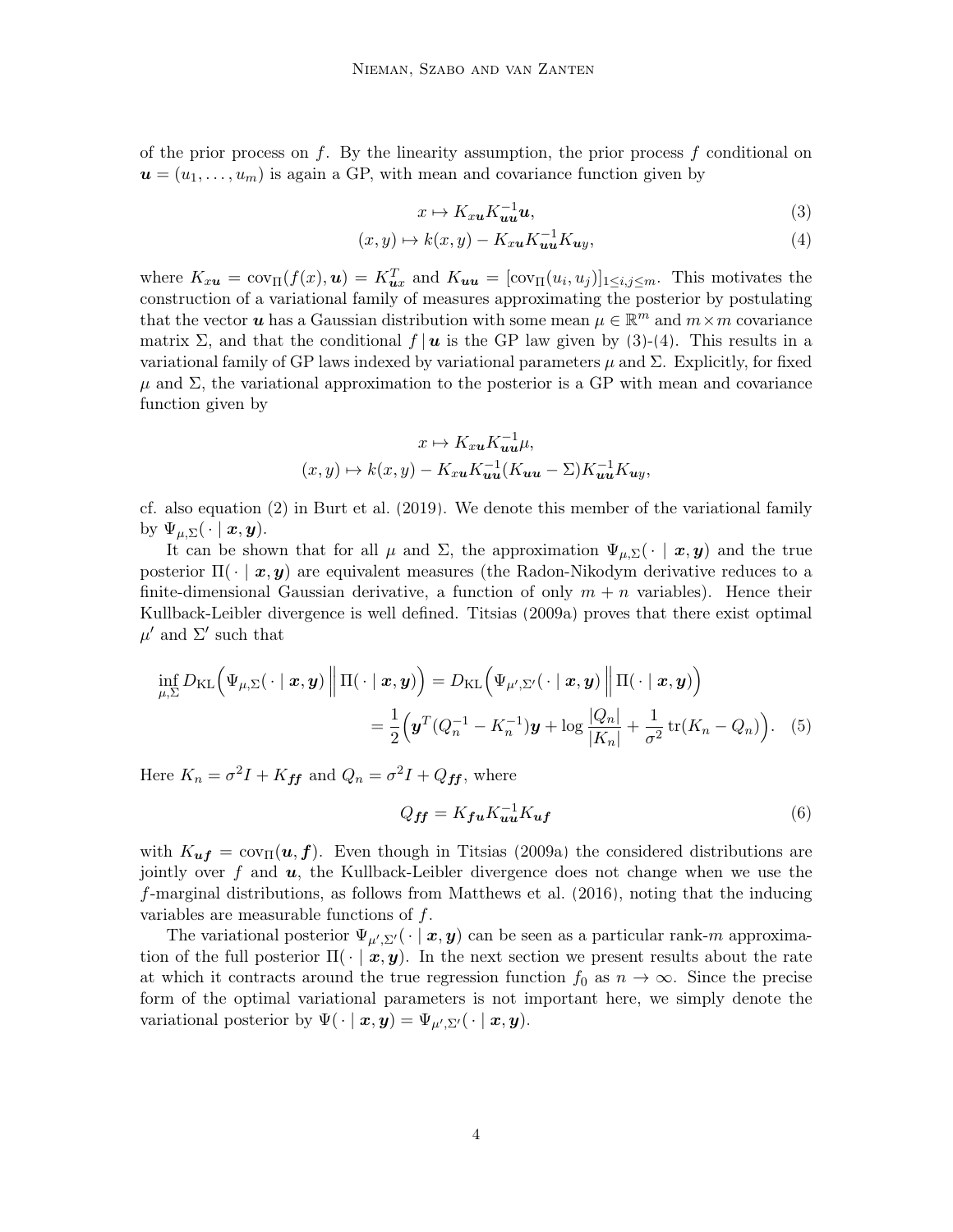of the prior process on f. By the linearity assumption, the prior process f conditional on  $u = (u_1, \ldots, u_m)$  is again a GP, with mean and covariance function given by

<span id="page-3-1"></span><span id="page-3-0"></span>
$$
x \mapsto K_{xu} K_{uu}^{-1} u,\tag{3}
$$

$$
(x, y) \mapsto k(x, y) - K_{xu} K_{uu}^{-1} K_{uy}, \tag{4}
$$

where  $K_{xu} = cov_{\Pi}(f(x), u) = K_{ux}^T$  and  $K_{uu} = [cov_{\Pi}(u_i, u_j)]_{1 \le i, j \le m}$ . This motivates the construction of a variational family of measures approximating the posterior by postulating that the vector  $u$  has a Gaussian distribution with some mean  $\mu \in \mathbb{R}^m$  and  $m \times m$  covariance matrix  $\Sigma$ , and that the conditional  $f |u$  is the GP law given by [\(3\)](#page-3-0)-[\(4\)](#page-3-1). This results in a variational family of GP laws indexed by variational parameters  $\mu$  and  $\Sigma$ . Explicitly, for fixed  $\mu$  and  $\Sigma$ , the variational approximation to the posterior is a GP with mean and covariance function given by

$$
x \mapsto K_{xu} K_{uu}^{-1} \mu,
$$
  

$$
(x, y) \mapsto k(x, y) - K_{xu} K_{uu}^{-1} (K_{uu} - \Sigma) K_{uu}^{-1} K_{uy},
$$

cf. also equation (2) in [Burt et al.](#page-24-3) [\(2019\)](#page-24-3). We denote this member of the variational family by  $\Psi_{\mu,\Sigma}(\cdot \mid \boldsymbol{x}, \boldsymbol{y}).$ 

It can be shown that for all  $\mu$  and  $\Sigma$ , the approximation  $\Psi_{\mu,\Sigma}(\cdot \mid \bm{x}, \bm{y})$  and the true posterior  $\Pi(\cdot | \bm{x}, \bm{y})$  are equivalent measures (the Radon-Nikodym derivative reduces to a finite-dimensional Gaussian derivative, a function of only  $m + n$  variables). Hence their Kullback-Leibler divergence is well defined. [Titsias](#page-25-3) [\(2009a\)](#page-25-3) proves that there exist optimal  $\mu'$  and  $\Sigma'$  such that

$$
\inf_{\mu,\Sigma} D_{\mathrm{KL}}\Big(\Psi_{\mu,\Sigma}(\cdot \mid \boldsymbol{x}, \boldsymbol{y})\Big\| \Pi(\cdot \mid \boldsymbol{x}, \boldsymbol{y})\Big) = D_{\mathrm{KL}}\Big(\Psi_{\mu',\Sigma'}(\cdot \mid \boldsymbol{x}, \boldsymbol{y})\Big\| \Pi(\cdot \mid \boldsymbol{x}, \boldsymbol{y})\Big) \n= \frac{1}{2}\Big(\boldsymbol{y}^T(Q_n^{-1} - K_n^{-1})\boldsymbol{y} + \log \frac{|Q_n|}{|K_n|} + \frac{1}{\sigma^2} \operatorname{tr}(K_n - Q_n)\Big).
$$
\n(5)

Here  $K_n = \sigma^2 I + K_{ff}$  and  $Q_n = \sigma^2 I + Q_{ff}$ , where

<span id="page-3-3"></span><span id="page-3-2"></span>
$$
Q_{ff} = K_{fu} K_{uu}^{-1} K_{uf} \tag{6}
$$

with  $K_{uf} = cov_{\Pi}(u, f)$ . Even though in [Titsias](#page-25-3) [\(2009a\)](#page-25-3) the considered distributions are jointly over f and  $u$ , the Kullback-Leibler divergence does not change when we use the f-marginal distributions, as follows from [Matthews et al.](#page-24-4) [\(2016\)](#page-24-4), noting that the inducing variables are measurable functions of f.

The variational posterior  $\Psi_{\mu',\Sigma'}(\cdot \mid x, y)$  can be seen as a particular rank-m approximation of the full posterior  $\Pi(\cdot | x, y)$ . In the next section we present results about the rate at which it contracts around the true regression function  $f_0$  as  $n \to \infty$ . Since the precise form of the optimal variational parameters is not important here, we simply denote the variational posterior by  $\Psi(\cdot | \mathbf{x}, \mathbf{y}) = \Psi_{\mu', \Sigma'}(\cdot | \mathbf{x}, \mathbf{y}).$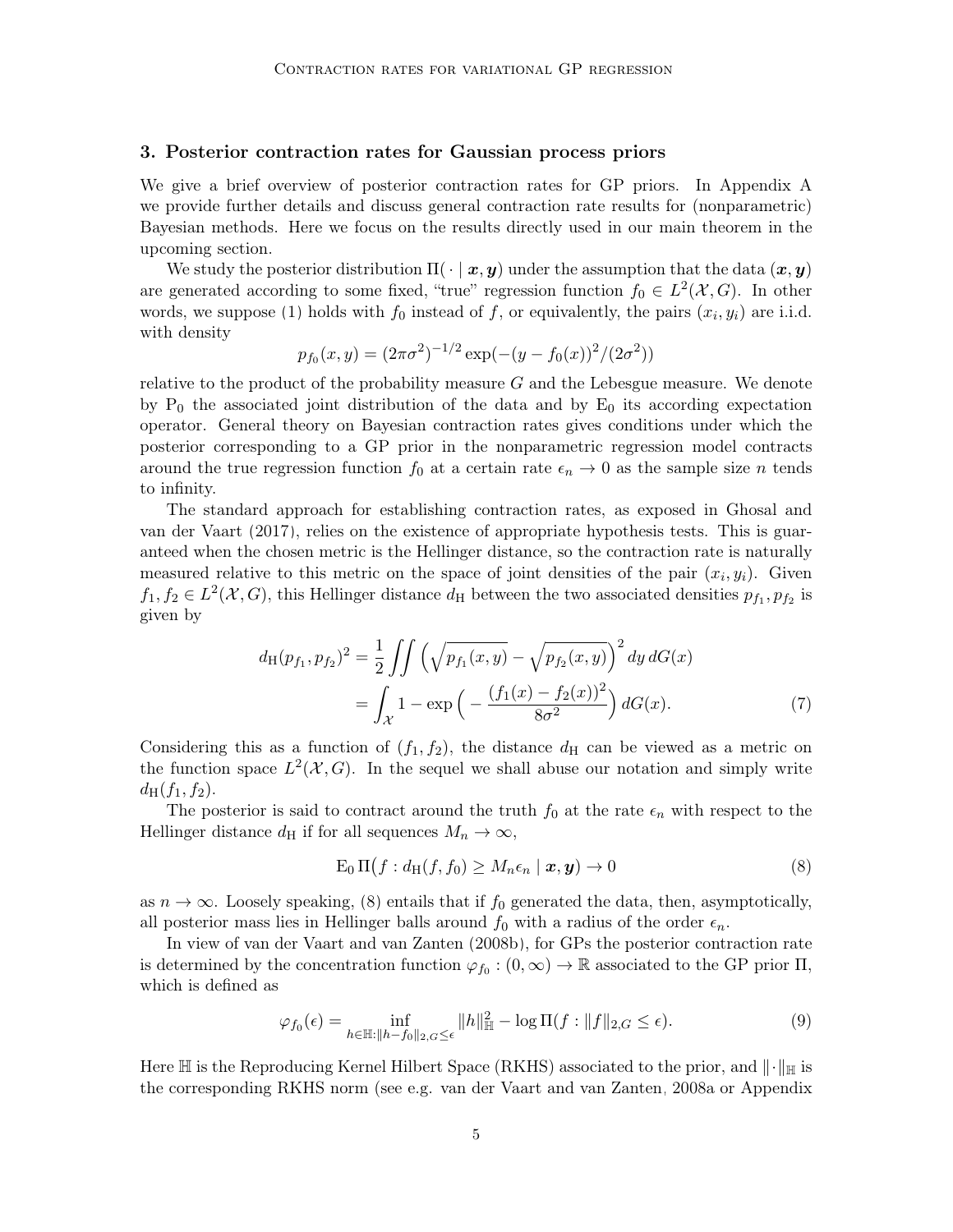#### <span id="page-4-0"></span>3. Posterior contraction rates for Gaussian process priors

We give a brief overview of posterior contraction rates for GP priors. In Appendix [A](#page-21-0) we provide further details and discuss general contraction rate results for (nonparametric) Bayesian methods. Here we focus on the results directly used in our main theorem in the upcoming section.

We study the posterior distribution  $\Pi(\cdot | x, y)$  under the assumption that the data  $(x, y)$ are generated according to some fixed, "true" regression function  $f_0 \in L^2(\mathcal{X}, G)$ . In other words, we suppose [\(1\)](#page-0-1) holds with  $f_0$  instead of f, or equivalently, the pairs  $(x_i, y_i)$  are i.i.d. with density

$$
p_{f_0}(x, y) = (2\pi\sigma^2)^{-1/2} \exp(-(y - f_0(x))^2/(2\sigma^2))
$$

relative to the product of the probability measure  $G$  and the Lebesgue measure. We denote by  $P_0$  the associated joint distribution of the data and by  $E_0$  its according expectation operator. General theory on Bayesian contraction rates gives conditions under which the posterior corresponding to a GP prior in the nonparametric regression model contracts around the true regression function  $f_0$  at a certain rate  $\epsilon_n \to 0$  as the sample size n tends to infinity.

The standard approach for establishing contraction rates, as exposed in [Ghosal and](#page-24-5) [van der Vaart](#page-24-5) [\(2017\)](#page-24-5), relies on the existence of appropriate hypothesis tests. This is guaranteed when the chosen metric is the Hellinger distance, so the contraction rate is naturally measured relative to this metric on the space of joint densities of the pair  $(x_i, y_i)$ . Given  $f_1, f_2 \in L^2(\mathcal{X}, G)$ , this Hellinger distance  $d_H$  between the two associated densities  $p_{f_1}, p_{f_2}$  is given by

$$
d_{\mathrm{H}}(p_{f_1}, p_{f_2})^2 = \frac{1}{2} \iint \left( \sqrt{p_{f_1}(x, y)} - \sqrt{p_{f_2}(x, y)} \right)^2 dy dG(x)
$$
  
= 
$$
\int_{\mathcal{X}} 1 - \exp\left( -\frac{(f_1(x) - f_2(x))^2}{8\sigma^2} \right) dG(x).
$$
 (7)

Considering this as a function of  $(f_1, f_2)$ , the distance  $d_H$  can be viewed as a metric on the function space  $L^2(\mathcal{X}, G)$ . In the sequel we shall abuse our notation and simply write  $d_H(f_1, f_2)$ .

The posterior is said to contract around the truth  $f_0$  at the rate  $\epsilon_n$  with respect to the Hellinger distance  $d_H$  if for all sequences  $M_n \to \infty$ ,

<span id="page-4-2"></span><span id="page-4-1"></span>
$$
E_0 \Pi \big( f : d_H(f, f_0) \ge M_n \epsilon_n \mid \mathbf{x}, \mathbf{y} \big) \to 0 \tag{8}
$$

as  $n \to \infty$ . Loosely speaking, [\(8\)](#page-4-1) entails that if  $f_0$  generated the data, then, asymptotically, all posterior mass lies in Hellinger balls around  $f_0$  with a radius of the order  $\epsilon_n$ .

In view of [van der Vaart and van Zanten](#page-25-1) [\(2008b\)](#page-25-1), for GPs the posterior contraction rate is determined by the concentration function  $\varphi_{f_0} : (0, \infty) \to \mathbb{R}$  associated to the GP prior  $\Pi$ , which is defined as

<span id="page-4-3"></span>
$$
\varphi_{f_0}(\epsilon) = \inf_{h \in \mathbb{H}: \|h - f_0\|_{2, G} \le \epsilon} \|h\|_{\mathbb{H}}^2 - \log \Pi(f : \|f\|_{2, G} \le \epsilon). \tag{9}
$$

Here H is the Reproducing Kernel Hilbert Space (RKHS) associated to the prior, and  $\|\cdot\|_{\mathbb{H}}$  is the corresponding RKHS norm (see e.g. [van der Vaart and van Zanten, 2008a](#page-25-4) or Appendix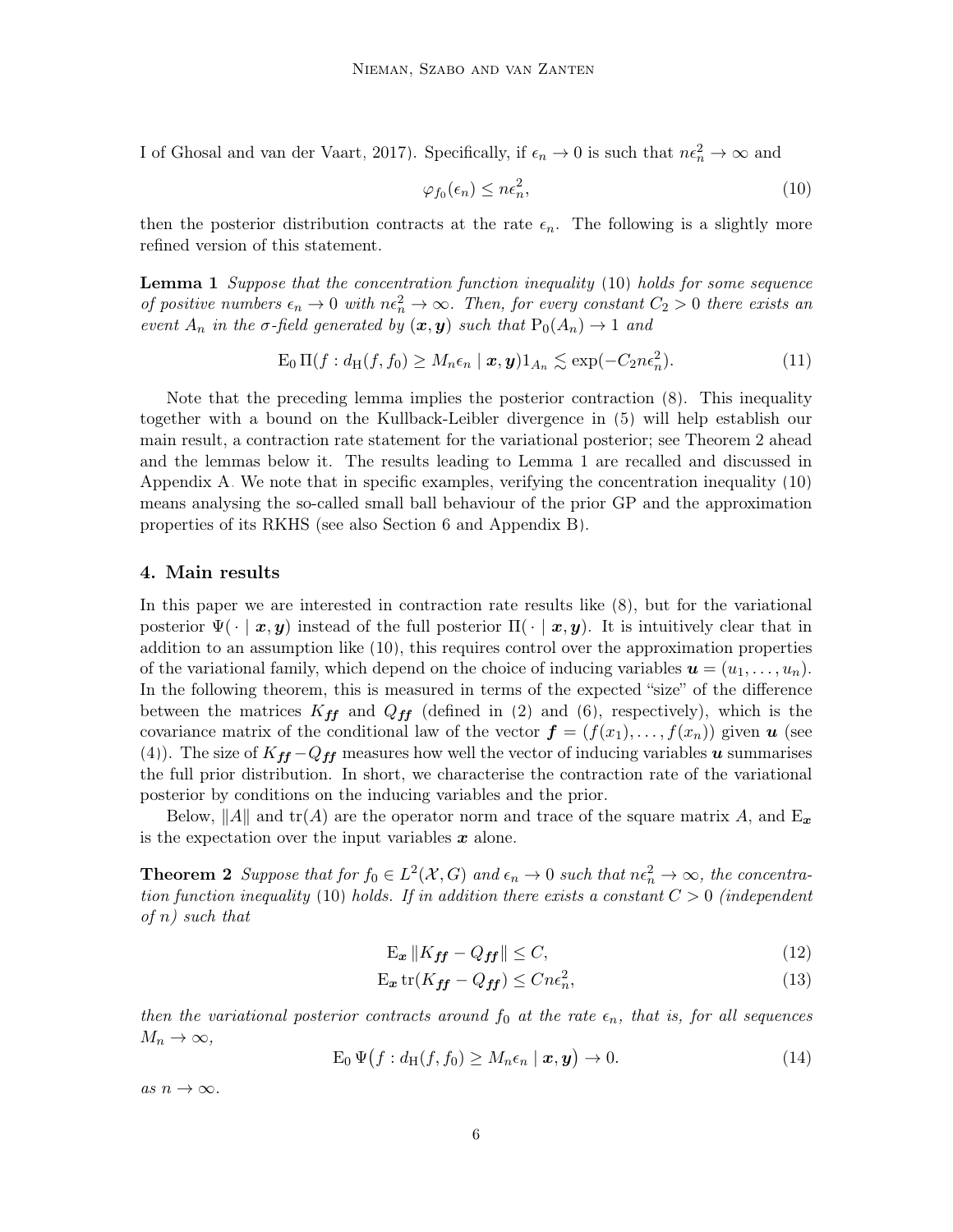I of [Ghosal and van der Vaart, 2017\)](#page-24-5). Specifically, if  $\epsilon_n \to 0$  is such that  $n\epsilon_n^2 \to \infty$  and

<span id="page-5-1"></span>
$$
\varphi_{f_0}(\epsilon_n) \le n\epsilon_n^2,\tag{10}
$$

then the posterior distribution contracts at the rate  $\epsilon_n$ . The following is a slightly more refined version of this statement.

<span id="page-5-3"></span>**Lemma 1** Suppose that the concentration function inequality [\(10\)](#page-5-1) holds for some sequence of positive numbers  $\epsilon_n \to 0$  with  $n\epsilon_n^2 \to \infty$ . Then, for every constant  $C_2 > 0$  there exists an event  $A_n$  in the  $\sigma$ -field generated by  $(\boldsymbol{x}, \boldsymbol{y})$  such that  $P_0(A_n) \to 1$  and

$$
E_0 \Pi(f : d_H(f, f_0) \ge M_n \epsilon_n \mid \mathbf{x}, \mathbf{y}) 1_{A_n} \lesssim \exp(-C_2 n \epsilon_n^2).
$$
 (11)

Note that the preceding lemma implies the posterior contraction [\(8\)](#page-4-1). This inequality together with a bound on the Kullback-Leibler divergence in [\(5\)](#page-3-2) will help establish our main result, a contraction rate statement for the variational posterior; see Theorem [2](#page-5-2) ahead and the lemmas below it. The results leading to Lemma [1](#page-5-3) are recalled and discussed in Appendix [A.](#page-21-0) We note that in specific examples, verifying the concentration inequality [\(10\)](#page-5-1) means analysing the so-called small ball behaviour of the prior GP and the approximation properties of its RKHS (see also Section [6](#page-13-0) and Appendix [B\)](#page-22-0).

# <span id="page-5-0"></span>4. Main results

In this paper we are interested in contraction rate results like [\(8\)](#page-4-1), but for the variational posterior  $\Psi(\cdot \mid x, y)$  instead of the full posterior  $\Pi(\cdot \mid x, y)$ . It is intuitively clear that in addition to an assumption like [\(10\)](#page-5-1), this requires control over the approximation properties of the variational family, which depend on the choice of inducing variables  $u = (u_1, \ldots, u_n)$ . In the following theorem, this is measured in terms of the expected "size" of the difference between the matrices  $K_{ff}$  and  $Q_{ff}$  (defined in [\(2\)](#page-2-1) and [\(6\)](#page-3-3), respectively), which is the covariance matrix of the conditional law of the vector  $\boldsymbol{f} = (f(x_1), \ldots, f(x_n))$  given  $\boldsymbol{u}$  (see [\(4\)](#page-3-1)). The size of  $K_{ff} - Q_{ff}$  measures how well the vector of inducing variables u summarises the full prior distribution. In short, we characterise the contraction rate of the variational posterior by conditions on the inducing variables and the prior.

Below, ||A|| and tr(A) are the operator norm and trace of the square matrix A, and  $E_x$ is the expectation over the input variables  $x$  alone.

<span id="page-5-2"></span>**Theorem 2** Suppose that for  $f_0 \in L^2(\mathcal{X}, G)$  and  $\epsilon_n \to 0$  such that  $n\epsilon_n^2 \to \infty$ , the concentra-tion function inequality [\(10\)](#page-5-1) holds. If in addition there exists a constant  $C > 0$  (independent  $of n) such that$ 

<span id="page-5-5"></span><span id="page-5-4"></span>
$$
\mathbf{E}_{x} \left\| K_{\text{ff}} - Q_{\text{ff}} \right\| \le C, \tag{12}
$$

$$
\mathcal{E}_{\mathbf{x}} \operatorname{tr}(K_{\mathbf{f} \mathbf{f}} - Q_{\mathbf{f} \mathbf{f}}) \le C n \epsilon_n^2,\tag{13}
$$

then the variational posterior contracts around  $f_0$  at the rate  $\epsilon_n$ , that is, for all sequences  $M_n \to \infty$ ,

$$
E_0 \Psi \big( f : d_H(f, f_0) \ge M_n \epsilon_n \mid \mathbf{x}, \mathbf{y} \big) \to 0. \tag{14}
$$

as  $n \to \infty$ .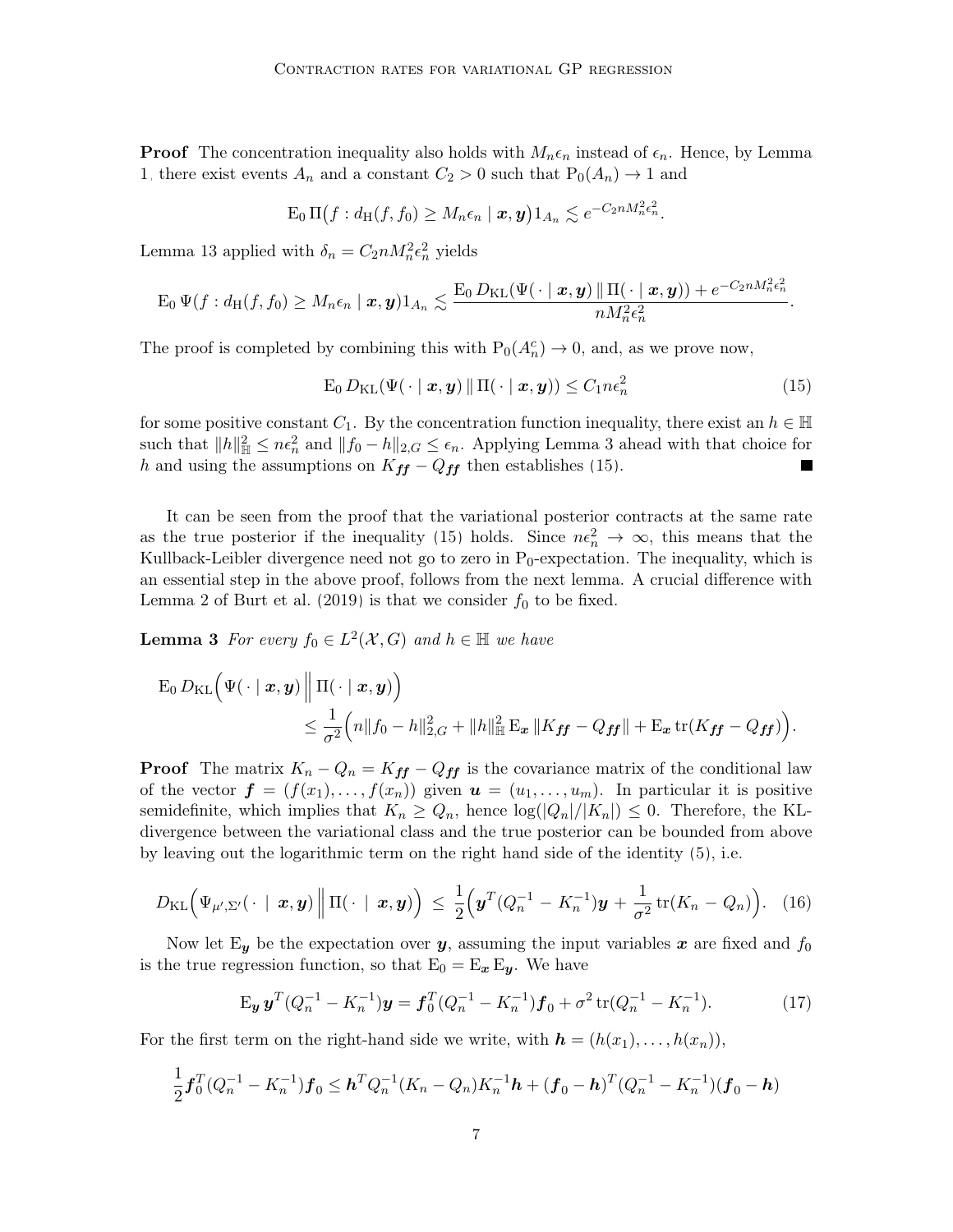**Proof** The concentration inequality also holds with  $M_n \epsilon_n$  instead of  $\epsilon_n$ . Hence, by Lemma [1,](#page-5-3) there exist events  $A_n$  and a constant  $C_2 > 0$  such that  $P_0(A_n) \to 1$  and

$$
\mathrm{E}_0 \,\mathrm{\Pi}\big(f: d_{\mathrm{H}}(f, f_0) \geq M_n \epsilon_n \mid \boldsymbol{x}, \boldsymbol{y}\big) 1_{A_n} \lesssim e^{-C_2 n M_n^2 \epsilon_n^2}.
$$

Lemma [13](#page-22-1) applied with  $\delta_n = C_2 n M_n^2 \epsilon_n^2$  yields

$$
\operatorname{E}_0\Psi(f:d_\mathrm{H}(f,f_0)\geq M_n\epsilon_n\mid\boldsymbol{x},\boldsymbol{y})1_{A_n}\lesssim \frac{\operatorname{E}_0D_\mathrm{KL}(\Psi(\,\cdot\mid\boldsymbol{x},\boldsymbol{y})\|\Pi(\,\cdot\mid\boldsymbol{x},\boldsymbol{y}))+e^{-C_2nM_n^2\epsilon_n^2}}{nM_n^2\epsilon_n^2}.
$$

The proof is completed by combining this with  $P_0(A_n^c) \to 0$ , and, as we prove now,

<span id="page-6-1"></span>
$$
E_0 D_{KL}(\Psi(\cdot \mid \boldsymbol{x}, \boldsymbol{y}) \|\Pi(\cdot \mid \boldsymbol{x}, \boldsymbol{y})) \le C_1 n \epsilon_n^2
$$
\n(15)

for some positive constant  $C_1$ . By the concentration function inequality, there exist an  $h \in \mathbb{H}$ such that  $||h||_{\mathbb{H}}^2 \leq n\epsilon_n^2$  and  $||f_0 - h||_{2,G} \leq \epsilon_n$ . Applying Lemma [3](#page-6-0) ahead with that choice for h and using the assumptions on  $K_{ff} - Q_{ff}$  then establishes [\(15\)](#page-6-1).

It can be seen from the proof that the variational posterior contracts at the same rate as the true posterior if the inequality [\(15\)](#page-6-1) holds. Since  $n\epsilon_n^2 \to \infty$ , this means that the Kullback-Leibler divergence need not go to zero in  $P_0$ -expectation. The inequality, which is an essential step in the above proof, follows from the next lemma. A crucial difference with Lemma 2 of [Burt et al.](#page-24-3) [\(2019\)](#page-24-3) is that we consider  $f_0$  to be fixed.

<span id="page-6-0"></span>**Lemma 3** For every  $f_0 \in L^2(\mathcal{X}, G)$  and  $h \in \mathbb{H}$  we have

$$
\mathcal{E}_0 D_{\mathrm{KL}}\Big(\Psi(\cdot \mid \boldsymbol{x}, \boldsymbol{y}) \middle\| \Pi(\cdot \mid \boldsymbol{x}, \boldsymbol{y})\Big) \n\leq \frac{1}{\sigma^2} \Big(n \Vert f_0 - h \Vert_{2,G}^2 + ||h||_{\mathbb{H}}^2 \mathbb{E}_{\boldsymbol{x}} ||K_{\boldsymbol{f} \boldsymbol{f}} - Q_{\boldsymbol{f} \boldsymbol{f}}|| + \mathbb{E}_{\boldsymbol{x}} \operatorname{tr}(K_{\boldsymbol{f} \boldsymbol{f}} - Q_{\boldsymbol{f} \boldsymbol{f}})\Big).
$$

**Proof** The matrix  $K_n - Q_n = K_{ff} - Q_{ff}$  is the covariance matrix of the conditional law of the vector  $\boldsymbol{f} = (f(x_1), \ldots, f(x_n))$  given  $\boldsymbol{u} = (u_1, \ldots, u_m)$ . In particular it is positive semidefinite, which implies that  $K_n \geq Q_n$ , hence  $\log(|Q_n|/|K_n|) \leq 0$ . Therefore, the KLdivergence between the variational class and the true posterior can be bounded from above by leaving out the logarithmic term on the right hand side of the identity [\(5\)](#page-3-2), i.e.

$$
D_{\mathrm{KL}}\left(\Psi_{\mu',\Sigma'}(\cdot\mid\boldsymbol{x},\boldsymbol{y})\middle\|\Pi(\cdot\mid\boldsymbol{x},\boldsymbol{y})\right) \leq \frac{1}{2}\left(\boldsymbol{y}^T(Q_n^{-1}-K_n^{-1})\boldsymbol{y}+\frac{1}{\sigma^2}\operatorname{tr}(K_n-Q_n)\right). \quad (16)
$$

Now let  $E_y$  be the expectation over y, assuming the input variables x are fixed and  $f_0$ is the true regression function, so that  $E_0 = E_x E_y$ . We have

<span id="page-6-3"></span><span id="page-6-2"></span>
$$
\mathbf{E}_{\mathbf{y}} \mathbf{y}^T (Q_n^{-1} - K_n^{-1}) \mathbf{y} = \mathbf{f}_0^T (Q_n^{-1} - K_n^{-1}) \mathbf{f}_0 + \sigma^2 \operatorname{tr}(Q_n^{-1} - K_n^{-1}). \tag{17}
$$

For the first term on the right-hand side we write, with  $h = (h(x_1), \ldots, h(x_n)),$ 

$$
\frac{1}{2} \boldsymbol{f}_0^T (Q_n^{-1} - K_n^{-1}) \boldsymbol{f}_0 \leq \boldsymbol{h}^T Q_n^{-1} (K_n - Q_n) K_n^{-1} \boldsymbol{h} + (\boldsymbol{f}_0 - \boldsymbol{h})^T (Q_n^{-1} - K_n^{-1}) (\boldsymbol{f}_0 - \boldsymbol{h})
$$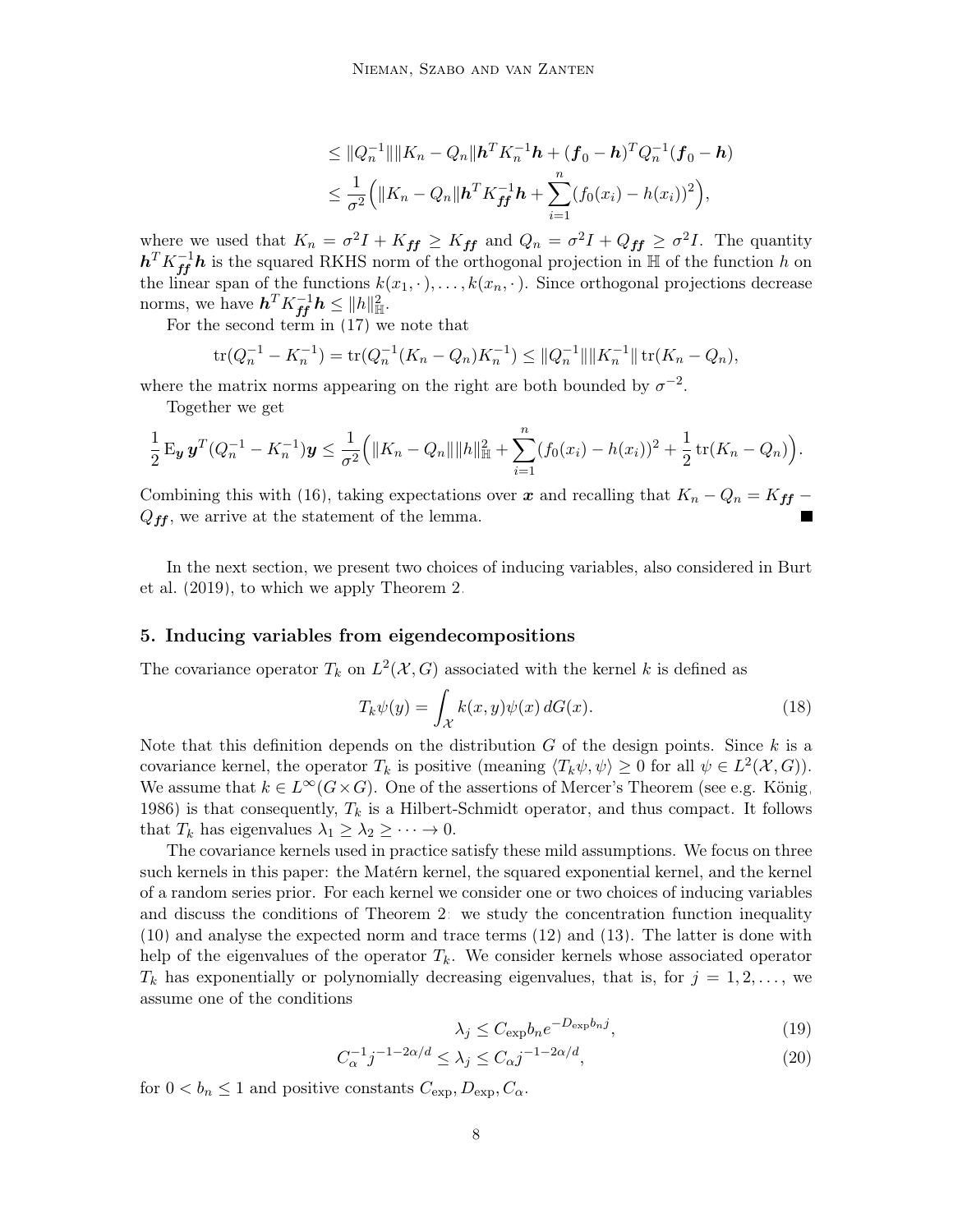$$
\leq ||Q_n^{-1}|| ||K_n - Q_n|| \mathbf{h}^T K_n^{-1} \mathbf{h} + (\mathbf{f}_0 - \mathbf{h})^T Q_n^{-1} (\mathbf{f}_0 - \mathbf{h})
$$
  

$$
\leq \frac{1}{\sigma^2} (||K_n - Q_n|| \mathbf{h}^T K_{ff}^{-1} \mathbf{h} + \sum_{i=1}^n (f_0(x_i) - h(x_i))^2),
$$

where we used that  $K_n = \sigma^2 I + K_{ff} \geq K_{ff}$  and  $Q_n = \sigma^2 I + Q_{ff} \geq \sigma^2 I$ . The quantity  $h^T K_{ff}^{-1} h$  is the squared RKHS norm of the orthogonal projection in H of the function h on the linear span of the functions  $k(x_1, \cdot), \ldots, k(x_n, \cdot)$ . Since orthogonal projections decrease norms, we have  $\boldsymbol{h}^T K_{\boldsymbol{f} \boldsymbol{f}}^{-1} \boldsymbol{h} \leq ||h||_{\mathbb{H}}^2$ .

For the second term in [\(17\)](#page-6-2) we note that

$$
\operatorname{tr}(Q_n^{-1} - K_n^{-1}) = \operatorname{tr}(Q_n^{-1}(K_n - Q_n)K_n^{-1}) \le ||Q_n^{-1}|| ||K_n^{-1}|| \operatorname{tr}(K_n - Q_n),
$$

where the matrix norms appearing on the right are both bounded by  $\sigma^{-2}$ .

Together we get

$$
\frac{1}{2} \mathbf{E}_{\mathbf{y}} \mathbf{y}^T (Q_n^{-1} - K_n^{-1}) \mathbf{y} \leq \frac{1}{\sigma^2} \Big( \|K_n - Q_n\| \|h\|_{\mathbb{H}}^2 + \sum_{i=1}^n (f_0(x_i) - h(x_i))^2 + \frac{1}{2} \operatorname{tr}(K_n - Q_n) \Big).
$$

Combining this with [\(16\)](#page-6-3), taking expectations over x and recalling that  $K_n - Q_n = K_{ff} Q_{\text{ff}}$ , we arrive at the statement of the lemma.

In the next section, we present two choices of inducing variables, also considered in [Burt](#page-24-3) [et al.](#page-24-3) [\(2019\)](#page-24-3), to which we apply Theorem [2.](#page-5-2)

#### <span id="page-7-3"></span>5. Inducing variables from eigendecompositions

The covariance operator  $T_k$  on  $L^2(\mathcal{X}, G)$  associated with the kernel k is defined as

<span id="page-7-1"></span>
$$
T_k \psi(y) = \int_{\mathcal{X}} k(x, y)\psi(x) dG(x).
$$
 (18)

Note that this definition depends on the distribution  $G$  of the design points. Since  $k$  is a covariance kernel, the operator  $T_k$  is positive (meaning  $\langle T_k \psi, \psi \rangle \ge 0$  for all  $\psi \in L^2(\mathcal{X}, G)$ ). We assume that  $k \in L^{\infty}(G \times G)$ . One of the assertions of Mercer's Theorem (see e.g. [König,](#page-24-6) [1986\)](#page-24-6) is that consequently,  $T_k$  is a Hilbert-Schmidt operator, and thus compact. It follows that  $T_k$  has eigenvalues  $\lambda_1 \geq \lambda_2 \geq \cdots \to 0$ .

The covariance kernels used in practice satisfy these mild assumptions. We focus on three such kernels in this paper: the Matérn kernel, the squared exponential kernel, and the kernel of a random series prior. For each kernel we consider one or two choices of inducing variables and discuss the conditions of Theorem [2:](#page-5-2) we study the concentration function inequality [\(10\)](#page-5-1) and analyse the expected norm and trace terms [\(12\)](#page-5-4) and [\(13\)](#page-5-5). The latter is done with help of the eigenvalues of the operator  $T_k$ . We consider kernels whose associated operator  $T_k$  has exponentially or polynomially decreasing eigenvalues, that is, for  $j = 1, 2, \ldots$ , we assume one of the conditions

<span id="page-7-2"></span><span id="page-7-0"></span>
$$
\lambda_j \le C_{\exp} b_n e^{-D_{\exp} b_n j},\tag{19}
$$

$$
C_{\alpha}^{-1}j^{-1-2\alpha/d} \le \lambda_j \le C_{\alpha}j^{-1-2\alpha/d},\tag{20}
$$

for  $0 < b_n \leq 1$  and positive constants  $C_{\exp}, D_{\exp}, C_{\alpha}$ .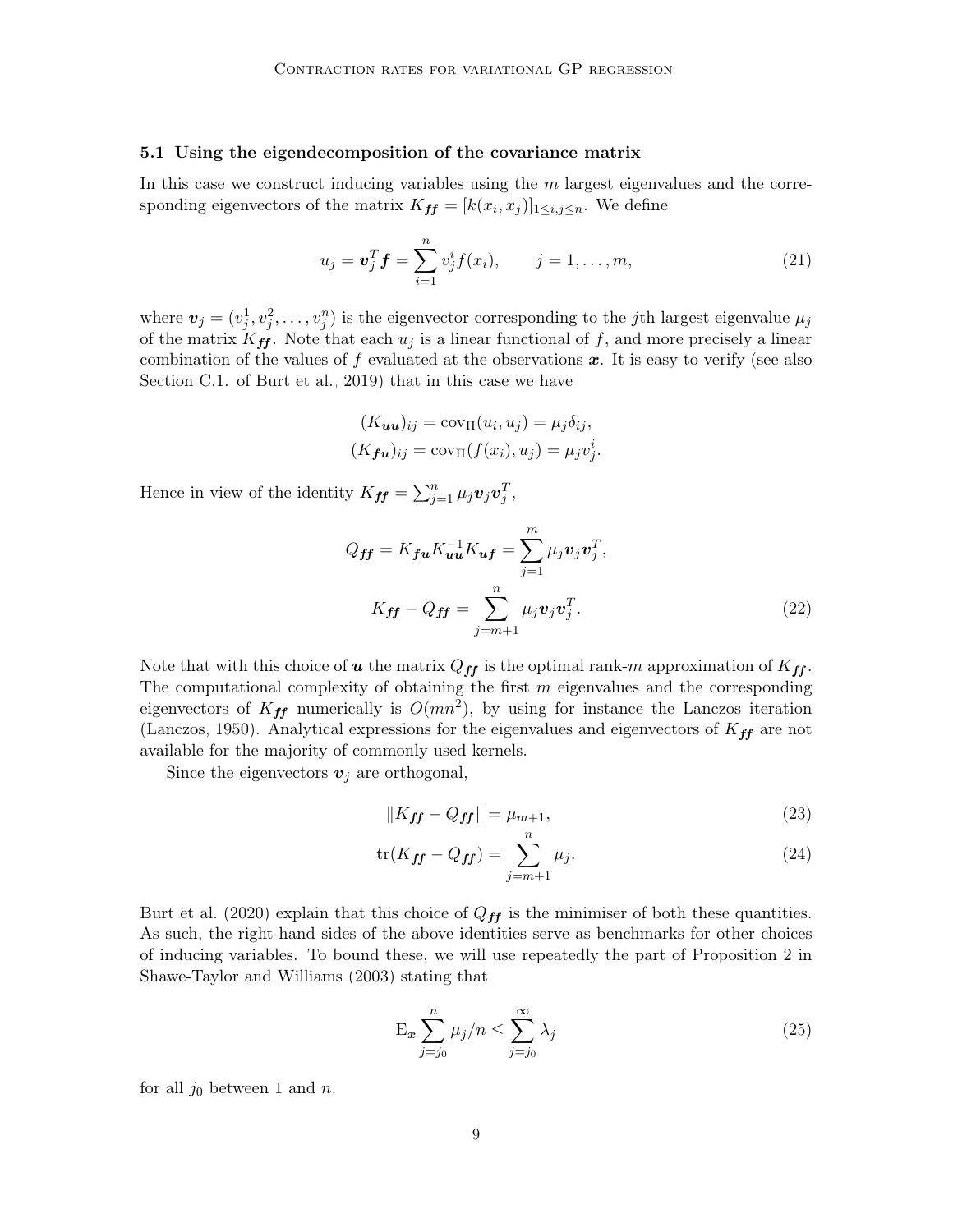#### <span id="page-8-0"></span>5.1 Using the eigendecomposition of the covariance matrix

In this case we construct inducing variables using the  $m$  largest eigenvalues and the corresponding eigenvectors of the matrix  $K_{ff} = [k(x_i, x_j)]_{1 \le i,j \le n}$ . We define

<span id="page-8-4"></span>
$$
u_j = \mathbf{v}_j^T \mathbf{f} = \sum_{i=1}^n v_j^i f(x_i), \qquad j = 1, \dots, m,
$$
 (21)

where  $\boldsymbol{v}_j = (v_j^1, v_j^2, \dots, v_j^n)$  is the eigenvector corresponding to the *j*th largest eigenvalue  $\mu_j$ of the matrix  $K_{ff}$ . Note that each  $u_j$  is a linear functional of f, and more precisely a linear combination of the values of f evaluated at the observations  $x$ . It is easy to verify (see also Section C.1. of [Burt et al., 2019\)](#page-24-3) that in this case we have

$$
(K_{uu})_{ij} = \text{cov}_{\Pi}(u_i, u_j) = \mu_j \delta_{ij},
$$
  

$$
(K_{fu})_{ij} = \text{cov}_{\Pi}(f(x_i), u_j) = \mu_j v_j^i.
$$

Hence in view of the identity  $K_{ff} = \sum_{j=1}^{n} \mu_j \boldsymbol{v}_j \boldsymbol{v}_j^T$ ,

$$
Q_{ff} = K_{fu} K_{uu}^{-1} K_{uf} = \sum_{j=1}^{m} \mu_j \boldsymbol{v}_j \boldsymbol{v}_j^T,
$$
  

$$
K_{ff} - Q_{ff} = \sum_{j=m+1}^{n} \mu_j \boldsymbol{v}_j \boldsymbol{v}_j^T.
$$
 (22)

Note that with this choice of **u** the matrix  $Q_{ff}$  is the optimal rank-m approximation of  $K_{ff}$ . The computational complexity of obtaining the first  $m$  eigenvalues and the corresponding eigenvectors of  $K_{ff}$  numerically is  $O(mn^2)$ , by using for instance the Lanczos iteration [\(Lanczos, 1950\)](#page-24-7). Analytical expressions for the eigenvalues and eigenvectors of  $K_{ff}$  are not available for the majority of commonly used kernels.

Since the eigenvectors  $v_j$  are orthogonal,

<span id="page-8-3"></span><span id="page-8-1"></span>
$$
||K_{\text{ff}} - Q_{\text{ff}}|| = \mu_{m+1},\tag{23}
$$

$$
\text{tr}(K_{\text{ff}} - Q_{\text{ff}}) = \sum_{j=m+1}^{n} \mu_j.
$$
\n(24)

[Burt et al.](#page-24-8) [\(2020\)](#page-24-8) explain that this choice of  $Q_{ff}$  is the minimiser of both these quantities. As such, the right-hand sides of the above identities serve as benchmarks for other choices of inducing variables. To bound these, we will use repeatedly the part of Proposition 2 in [Shawe-Taylor and Williams](#page-25-5) [\(2003\)](#page-25-5) stating that

<span id="page-8-2"></span>
$$
\mathcal{E}_{\boldsymbol{x}} \sum_{j=j_0}^{n} \mu_j / n \le \sum_{j=j_0}^{\infty} \lambda_j \tag{25}
$$

for all  $j_0$  between 1 and n.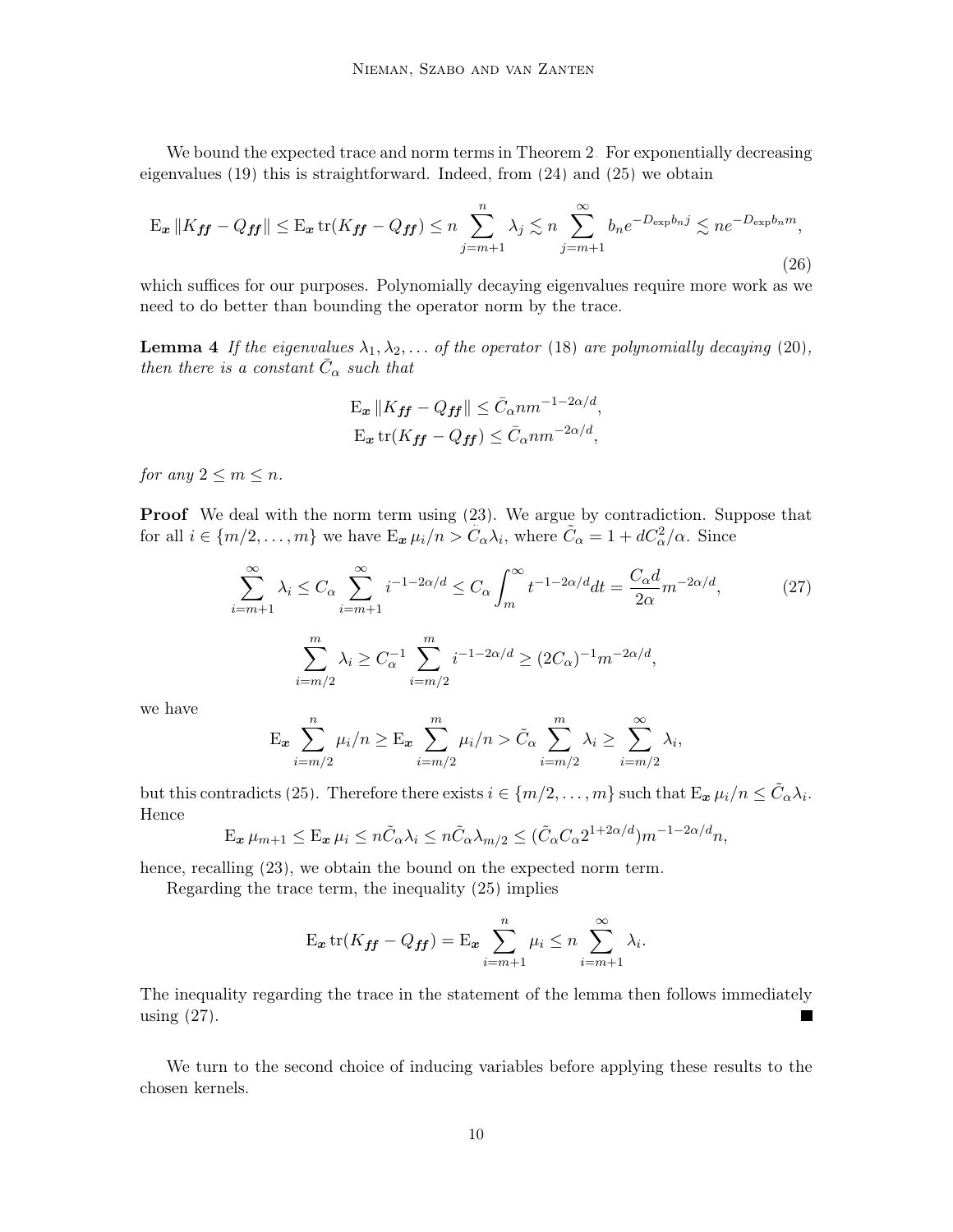We bound the expected trace and norm terms in Theorem [2.](#page-5-2) For exponentially decreasing eigenvalues [\(19\)](#page-7-0) this is straightforward. Indeed, from [\(24\)](#page-8-1) and [\(25\)](#page-8-2) we obtain

$$
\mathbf{E}_{\boldsymbol{x}} \| K_{\boldsymbol{f}\boldsymbol{f}} - Q_{\boldsymbol{f}\boldsymbol{f}} \| \le \mathbf{E}_{\boldsymbol{x}} \operatorname{tr}(K_{\boldsymbol{f}\boldsymbol{f}} - Q_{\boldsymbol{f}\boldsymbol{f}}) \le n \sum_{j=m+1}^{n} \lambda_j \lesssim n \sum_{j=m+1}^{\infty} b_n e^{-D_{\exp} b_n j} \lesssim n e^{-D_{\exp} b_n m},\tag{26}
$$

which suffices for our purposes. Polynomially decaying eigenvalues require more work as we need to do better than bounding the operator norm by the trace.

<span id="page-9-2"></span>**Lemma 4** If the eigenvalues  $\lambda_1, \lambda_2, \ldots$  of the operator [\(18\)](#page-7-1) are polynomially decaying [\(20\)](#page-7-2), then there is a constant  $\bar{C}_{\alpha}$  such that

<span id="page-9-1"></span><span id="page-9-0"></span>
$$
\mathbf{E}_{\boldsymbol{x}} \| K_{\boldsymbol{f}\boldsymbol{f}} - Q_{\boldsymbol{f}\boldsymbol{f}} \| \leq \bar{C}_{\alpha} n m^{-1 - 2\alpha/d},
$$
  

$$
\mathbf{E}_{\boldsymbol{x}} \operatorname{tr}(K_{\boldsymbol{f}\boldsymbol{f}} - Q_{\boldsymbol{f}\boldsymbol{f}}) \leq \bar{C}_{\alpha} n m^{-2\alpha/d},
$$

for any  $2 \leq m \leq n$ .

Proof We deal with the norm term using [\(23\)](#page-8-3). We argue by contradiction. Suppose that for all  $i \in \{m/2, \ldots, m\}$  we have  $E_{\bm{x}} \mu_i/n > \tilde{C}_{\alpha} \lambda_i$ , where  $\tilde{C}_{\alpha} = 1 + dC_{\alpha}^2/\alpha$ . Since

$$
\sum_{i=m+1}^{\infty} \lambda_i \le C_{\alpha} \sum_{i=m+1}^{\infty} i^{-1-2\alpha/d} \le C_{\alpha} \int_m^{\infty} t^{-1-2\alpha/d} dt = \frac{C_{\alpha}d}{2\alpha} m^{-2\alpha/d},\tag{27}
$$

$$
\sum_{i=m/2}^m \lambda_i \ge C_{\alpha}^{-1} \sum_{i=m/2}^m i^{-1-2\alpha/d} \ge (2C_{\alpha})^{-1} m^{-2\alpha/d},
$$

we have

$$
\mathcal{E}_{\boldsymbol{x}} \sum_{i=m/2}^{n} \mu_i / n \geq \mathcal{E}_{\boldsymbol{x}} \sum_{i=m/2}^{m} \mu_i / n > \tilde{C}_{\alpha} \sum_{i=m/2}^{m} \lambda_i \geq \sum_{i=m/2}^{\infty} \lambda_i,
$$

but this contradicts [\(25\)](#page-8-2). Therefore there exists  $i \in \{m/2, \ldots, m\}$  such that  $\mathbb{E}_{\mathbf{x}} \mu_i/n \leq \tilde{C}_{\alpha} \lambda_i$ . Hence

$$
\mathcal{E}_{\boldsymbol{x}} \,\mu_{m+1} \leq \mathcal{E}_{\boldsymbol{x}} \,\mu_i \leq n \tilde{C}_{\alpha} \lambda_i \leq n \tilde{C}_{\alpha} \lambda_{m/2} \leq (\tilde{C}_{\alpha} C_{\alpha} 2^{1+2\alpha/d}) m^{-1-2\alpha/d} n,
$$

hence, recalling  $(23)$ , we obtain the bound on the expected norm term.

Regarding the trace term, the inequality [\(25\)](#page-8-2) implies

$$
E_{\boldsymbol{x}} \operatorname{tr}(K_{\boldsymbol{f} \boldsymbol{f}} - Q_{\boldsymbol{f} \boldsymbol{f}}) = E_{\boldsymbol{x}} \sum_{i=m+1}^{n} \mu_i \le n \sum_{i=m+1}^{\infty} \lambda_i.
$$

The inequality regarding the trace in the statement of the lemma then follows immediately using [\(27\)](#page-9-0).  $\blacksquare$ 

We turn to the second choice of inducing variables before applying these results to the chosen kernels.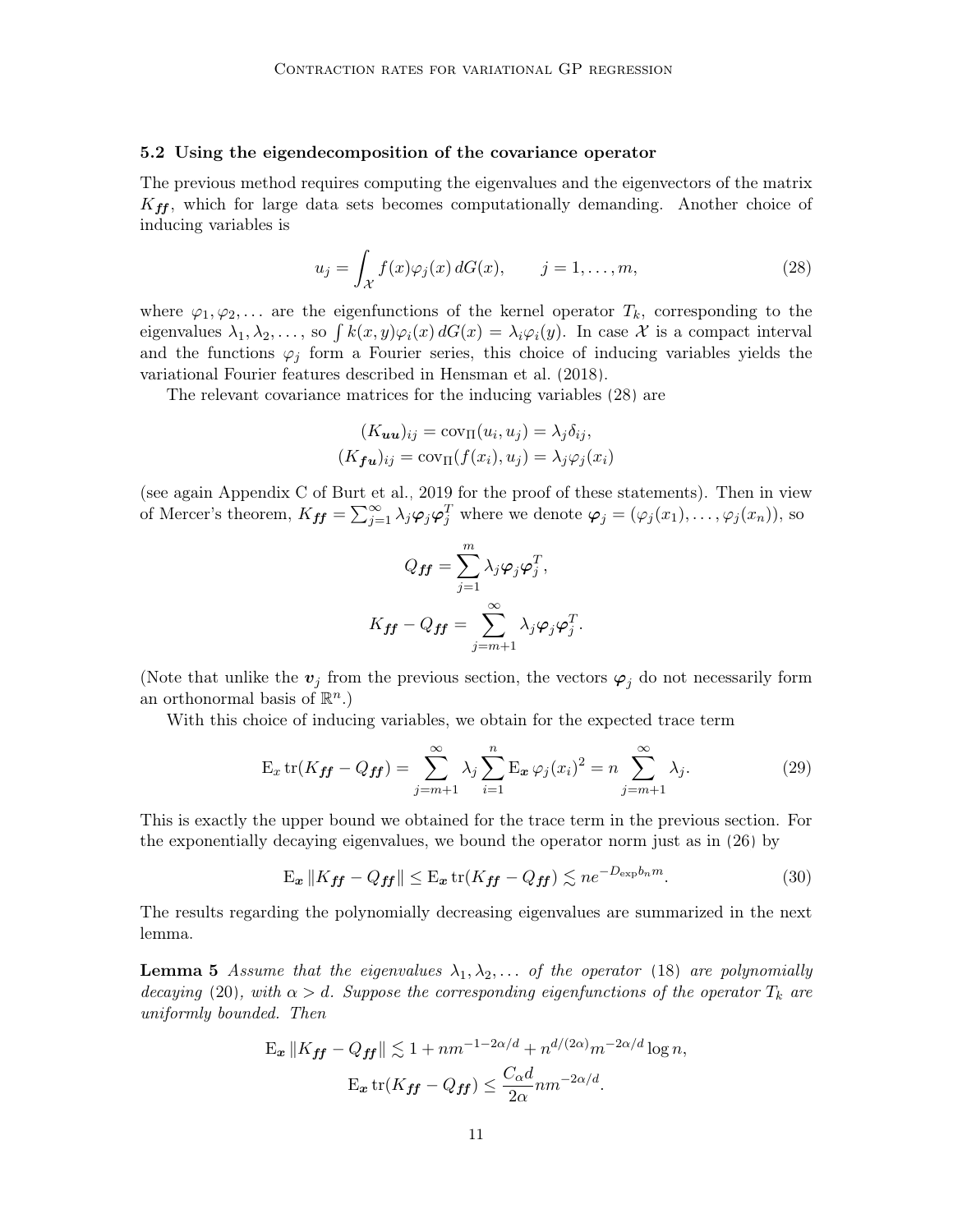#### <span id="page-10-0"></span>5.2 Using the eigendecomposition of the covariance operator

The previous method requires computing the eigenvalues and the eigenvectors of the matrix  $K_{ff}$ , which for large data sets becomes computationally demanding. Another choice of inducing variables is

<span id="page-10-1"></span>
$$
u_j = \int_{\mathcal{X}} f(x)\varphi_j(x) dG(x), \qquad j = 1, \dots, m,
$$
 (28)

where  $\varphi_1, \varphi_2, \ldots$  are the eigenfunctions of the kernel operator  $T_k$ , corresponding to the eigenvalues  $\lambda_1, \lambda_2, \ldots$ , so  $\int k(x, y) \varphi_i(x) dG(x) = \lambda_i \varphi_i(y)$ . In case X is a compact interval and the functions  $\varphi_i$  form a Fourier series, this choice of inducing variables yields the variational Fourier features described in [Hensman et al.](#page-24-9) [\(2018\)](#page-24-9).

The relevant covariance matrices for the inducing variables [\(28\)](#page-10-1) are

$$
(K_{uu})_{ij} = \text{cov}_{\Pi}(u_i, u_j) = \lambda_j \delta_{ij},
$$

$$
(K_{\mathbf{f}u})_{ij} = \text{cov}_{\Pi}(f(x_i), u_j) = \lambda_j \varphi_j(x_i)
$$

(see again Appendix C of [Burt et al., 2019](#page-24-3) for the proof of these statements). Then in view of Mercer's theorem,  $K_{ff} = \sum_{j=1}^{\infty} \lambda_j \varphi_j \varphi_j^T$  where we denote  $\varphi_j = (\varphi_j(x_1), \ldots, \varphi_j(x_n))$ , so

<span id="page-10-2"></span>
$$
Q_{\boldsymbol{f}\boldsymbol{f}} = \sum_{j=1}^{m} \lambda_j \boldsymbol{\varphi}_j \boldsymbol{\varphi}_j^T,
$$
  

$$
K_{\boldsymbol{f}\boldsymbol{f}} - Q_{\boldsymbol{f}\boldsymbol{f}} = \sum_{j=m+1}^{\infty} \lambda_j \boldsymbol{\varphi}_j \boldsymbol{\varphi}_j^T.
$$

(Note that unlike the  $v_j$  from the previous section, the vectors  $\varphi_j$  do not necessarily form an orthonormal basis of  $\mathbb{R}^n$ .)

With this choice of inducing variables, we obtain for the expected trace term

$$
\mathcal{E}_x \operatorname{tr}(K_{\text{ff}} - Q_{\text{ff}}) = \sum_{j=m+1}^{\infty} \lambda_j \sum_{i=1}^n \mathcal{E}_x \varphi_j(x_i)^2 = n \sum_{j=m+1}^{\infty} \lambda_j.
$$
 (29)

This is exactly the upper bound we obtained for the trace term in the previous section. For the exponentially decaying eigenvalues, we bound the operator norm just as in [\(26\)](#page-9-1) by

$$
\mathbf{E}_{\boldsymbol{x}} \| K_{\boldsymbol{f} \boldsymbol{f}} - Q_{\boldsymbol{f} \boldsymbol{f}} \| \le \mathbf{E}_{\boldsymbol{x}} \operatorname{tr}(K_{\boldsymbol{f} \boldsymbol{f}} - Q_{\boldsymbol{f} \boldsymbol{f}}) \lesssim n e^{-D_{\exp} b_n m}.
$$
 (30)

The results regarding the polynomially decreasing eigenvalues are summarized in the next lemma.

<span id="page-10-3"></span>**Lemma 5** Assume that the eigenvalues  $\lambda_1, \lambda_2, \ldots$  of the operator [\(18\)](#page-7-1) are polynomially decaying [\(20\)](#page-7-2), with  $\alpha > d$ . Suppose the corresponding eigenfunctions of the operator  $T_k$  are uniformly bounded. Then

$$
\mathbf{E}_{\boldsymbol{x}} \| K_{\boldsymbol{f}\boldsymbol{f}} - Q_{\boldsymbol{f}\boldsymbol{f}} \| \lesssim 1 + nm^{-1 - 2\alpha/d} + n^{d/(2\alpha)} m^{-2\alpha/d} \log n,
$$
  

$$
\mathbf{E}_{\boldsymbol{x}} \operatorname{tr}(K_{\boldsymbol{f}\boldsymbol{f}} - Q_{\boldsymbol{f}\boldsymbol{f}}) \le \frac{C_{\alpha} d}{2\alpha} nm^{-2\alpha/d}.
$$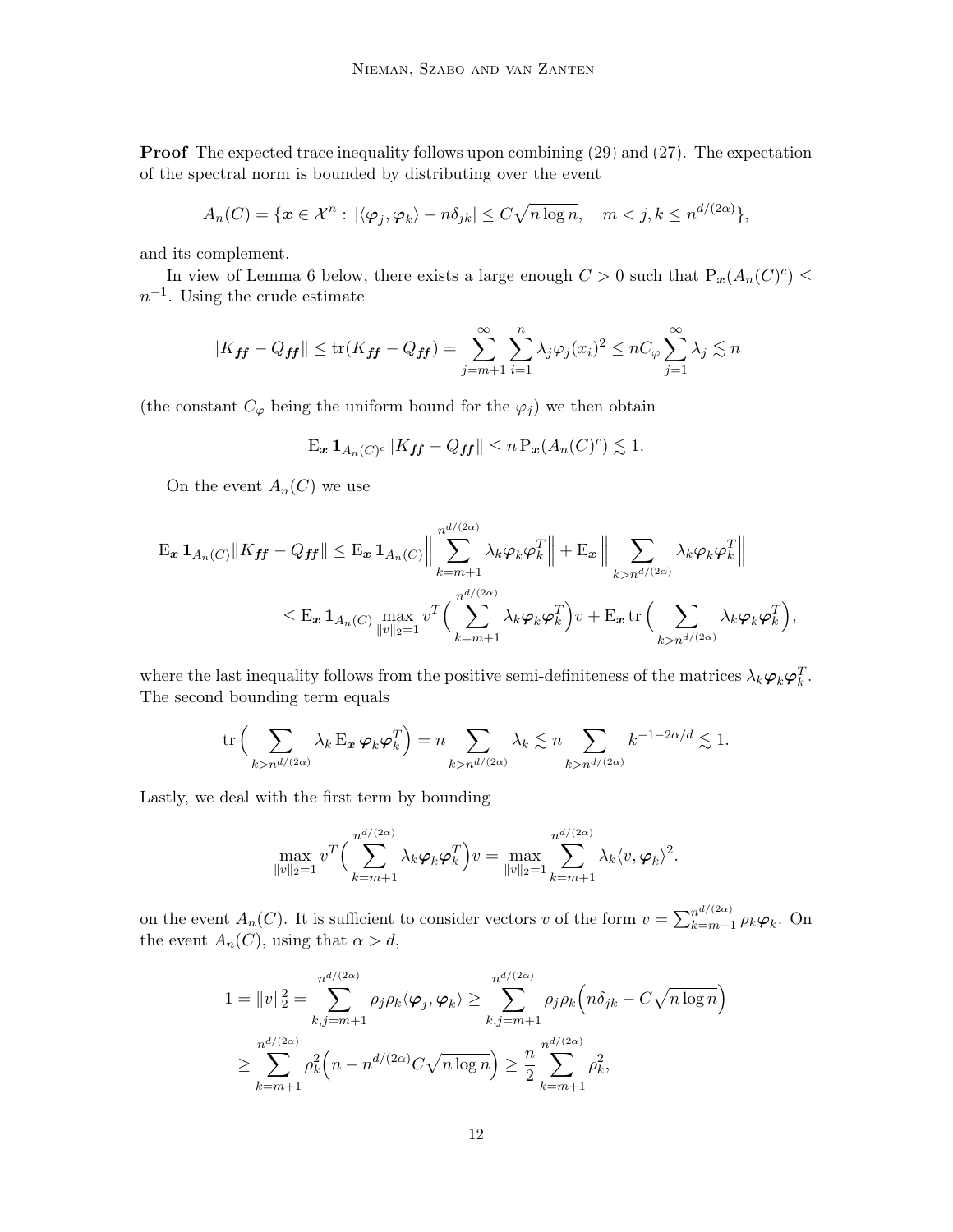Proof The expected trace inequality follows upon combining [\(29\)](#page-10-2) and [\(27\)](#page-9-0). The expectation of the spectral norm is bounded by distributing over the event

$$
A_n(C) = \{ \boldsymbol{x} \in \mathcal{X}^n : |\langle \boldsymbol{\varphi}_j, \boldsymbol{\varphi}_k \rangle - n \delta_{jk}| \le C \sqrt{n \log n}, \quad m < j, k \le n^{d/(2\alpha)} \},
$$

and its complement.

In view of Lemma [6](#page-12-0) below, there exists a large enough  $C > 0$  such that  $P_{\mathbf{x}}(A_n(C)^c) \leq$  $n^{-1}$ . Using the crude estimate

$$
||K_{\mathbf{f}\mathbf{f}} - Q_{\mathbf{f}\mathbf{f}}|| \le \text{tr}(K_{\mathbf{f}\mathbf{f}} - Q_{\mathbf{f}\mathbf{f}}) = \sum_{j=m+1}^{\infty} \sum_{i=1}^{n} \lambda_j \varphi_j(x_i)^2 \le nC_{\varphi} \sum_{j=1}^{\infty} \lambda_j \lesssim n
$$

(the constant  $C_{\varphi}$  being the uniform bound for the  $\varphi_j$ ) we then obtain

$$
\mathbf{E}_{\boldsymbol{x}} \mathbf{1}_{A_n(C)^c} \|K_{\boldsymbol{f} \boldsymbol{f}} - Q_{\boldsymbol{f} \boldsymbol{f}}\| \leq n \mathbf{P}_{\boldsymbol{x}}(A_n(C)^c) \lesssim 1.
$$

On the event  $A_n(C)$  we use

$$
\begin{split} \operatorname{E}_{\boldsymbol{x}} \mathbf{1}_{A_n(C)} \|K_{\boldsymbol{f} \boldsymbol{f}} - Q_{\boldsymbol{f} \boldsymbol{f}}\| &\leq \operatorname{E}_{\boldsymbol{x}} \mathbf{1}_{A_n(C)} \Big\| \sum_{k=m+1}^{n^{d/(2\alpha)}} \lambda_k \boldsymbol{\varphi}_k \boldsymbol{\varphi}_k^T \Big\| + \operatorname{E}_{\boldsymbol{x}} \Big\| \sum_{k>n^{d/(2\alpha)}} \lambda_k \boldsymbol{\varphi}_k \boldsymbol{\varphi}_k^T \Big\| \\ &\leq \operatorname{E}_{\boldsymbol{x}} \mathbf{1}_{A_n(C)} \max_{\|v\|_2=1} v^T \Big( \sum_{k=m+1}^{n^{d/(2\alpha)}} \lambda_k \boldsymbol{\varphi}_k \boldsymbol{\varphi}_k^T \Big) v + \operatorname{E}_{\boldsymbol{x}} \operatorname{tr} \Big( \sum_{k>n^{d/(2\alpha)}} \lambda_k \boldsymbol{\varphi}_k \boldsymbol{\varphi}_k^T \Big), \end{split}
$$

where the last inequality follows from the positive semi-definiteness of the matrices  $\lambda_k \varphi_k \varphi_k^T$ . The second bounding term equals

$$
\operatorname{tr}\Big(\sum_{k> n^{d/(2\alpha)}} \lambda_k \operatorname{E}_{\boldsymbol{x}} \boldsymbol{\varphi}_k \boldsymbol{\varphi}_k^T\Big) = n \sum_{k> n^{d/(2\alpha)}} \lambda_k \lesssim n \sum_{k> n^{d/(2\alpha)}} k^{-1-2\alpha/d} \lesssim 1.
$$

Lastly, we deal with the first term by bounding

$$
\max_{\|v\|_2=1} v^T \Big(\sum_{k=m+1}^{n^{d/(2\alpha)}} \lambda_k \varphi_k \varphi_k^T\Big)v = \max_{\|v\|_2=1} \sum_{k=m+1}^{n^{d/(2\alpha)}} \lambda_k \langle v, \varphi_k \rangle^2.
$$

on the event  $A_n(C)$ . It is sufficient to consider vectors v of the form  $v = \sum_{k=m+1}^{n^{d/(2\alpha)}} \rho_k \varphi_k$ . On the event  $A_n(C)$ , using that  $\alpha > d$ ,

$$
1 = ||v||_2^2 = \sum_{k,j=m+1}^{n^{d/(2\alpha)}} \rho_j \rho_k \langle \varphi_j, \varphi_k \rangle \ge \sum_{k,j=m+1}^{n^{d/(2\alpha)}} \rho_j \rho_k \left( n \delta_{jk} - C \sqrt{n \log n} \right)
$$
  

$$
\ge \sum_{k=m+1}^{n^{d/(2\alpha)}} \rho_k^2 \left( n - n^{d/(2\alpha)} C \sqrt{n \log n} \right) \ge \frac{n}{2} \sum_{k=m+1}^{n^{d/(2\alpha)}} \rho_k^2,
$$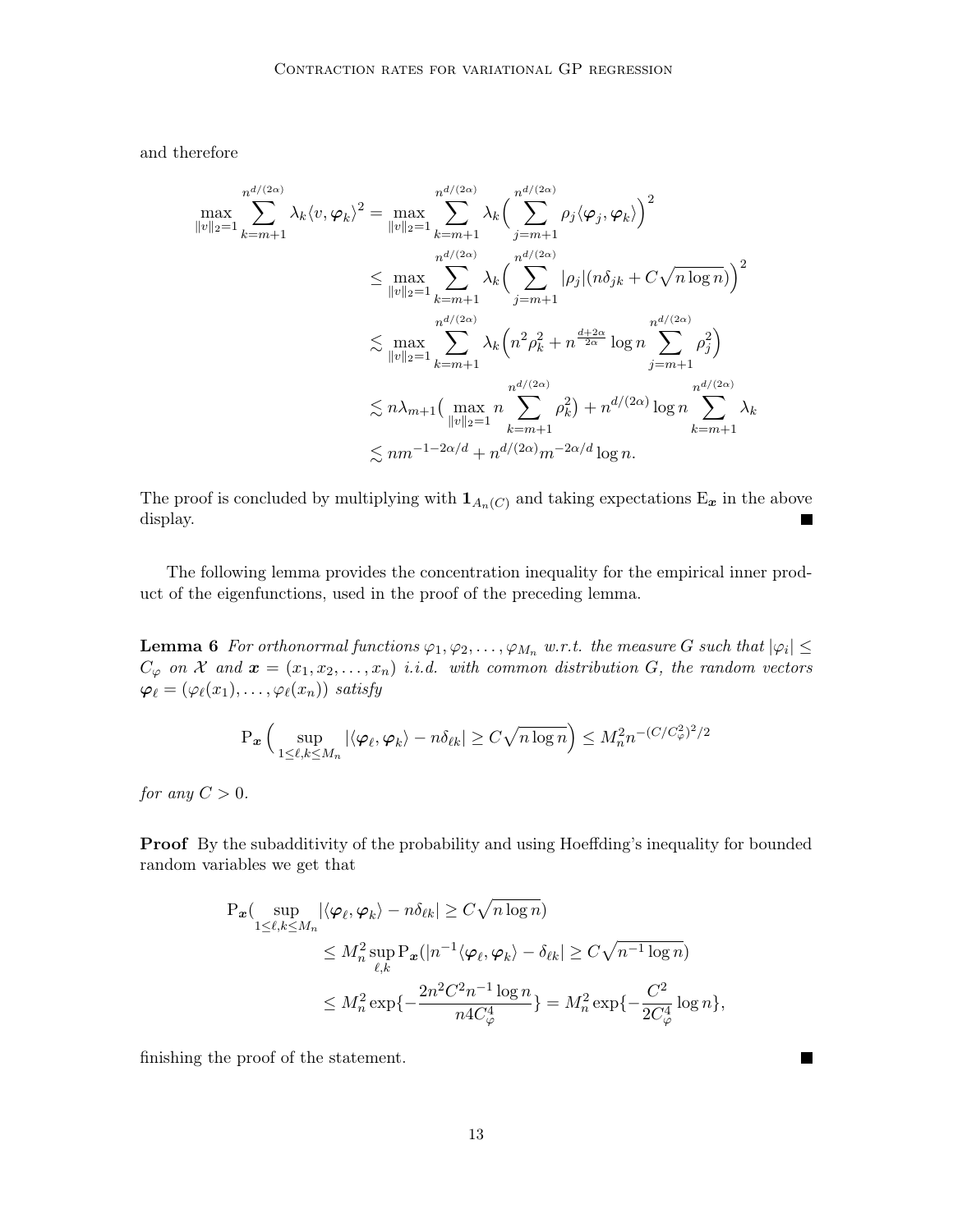and therefore

$$
\max_{\|v\|_2=1} \sum_{k=m+1}^{n^{d/(2\alpha)}} \lambda_k \langle v, \varphi_k \rangle^2 = \max_{\|v\|_2=1} \sum_{k=m+1}^{n^{d/(2\alpha)}} \lambda_k \Big( \sum_{j=m+1}^{n^{d/(2\alpha)}} \rho_j \langle \varphi_j, \varphi_k \rangle \Big)^2
$$
  

$$
\leq \max_{\|v\|_2=1} \sum_{k=m+1}^{n^{d/(2\alpha)}} \lambda_k \Big( \sum_{j=m+1}^{n^{d/(2\alpha)}} |\rho_j| (n \delta_{jk} + C \sqrt{n \log n}) \Big)^2
$$
  

$$
\lesssim \max_{\|v\|_2=1} \sum_{k=m+1}^{n^{d/(2\alpha)}} \lambda_k \Big( n^2 \rho_k^2 + n^{\frac{d+2\alpha}{2\alpha}} \log n \sum_{j=m+1}^{n^{d/(2\alpha)}} \rho_j^2 \Big)
$$
  

$$
\lesssim n \lambda_{m+1} \Big( \max_{\|v\|_2=1} n \sum_{k=m+1}^{n^{d/(2\alpha)}} \rho_k^2 \Big) + n^{d/(2\alpha)} \log n \sum_{k=m+1}^{n^{d/(2\alpha)}} \lambda_k
$$
  

$$
\lesssim nm^{-1-2\alpha/d} + n^{d/(2\alpha)} m^{-2\alpha/d} \log n.
$$

The proof is concluded by multiplying with  $\mathbf{1}_{A_n(C)}$  and taking expectations  $E_x$  in the above display. г

<span id="page-12-0"></span>The following lemma provides the concentration inequality for the empirical inner product of the eigenfunctions, used in the proof of the preceding lemma.

**Lemma 6** For orthonormal functions  $\varphi_1, \varphi_2, \ldots, \varphi_{M_n}$  w.r.t. the measure G such that  $|\varphi_i| \leq$  $C_\varphi$  on X and  $\boldsymbol{x} = (x_1, x_2, \ldots, x_n)$  i.i.d. with common distribution G, the random vectors  $\varphi_\ell = (\varphi_\ell(x_1), \ldots, \varphi_\ell(x_n))$  satisfy

$$
\mathrm{P}_{\boldsymbol{x}}\left(\sup_{1\leq\ell,k\leq M_n}|\langle\varphi_{\ell},\varphi_{k}\rangle-n\delta_{\ell k}|\geq C\sqrt{n\log n}\right)\leq M_n^2n^{-(C/C_\varphi^2)^2/2}
$$

for any  $C > 0$ .

Proof By the subadditivity of the probability and using Hoeffding's inequality for bounded random variables we get that

$$
\begin{split} \mathbf{P_x}(\sup_{1 \le \ell, k \le M_n} |\langle \varphi_\ell, \varphi_k \rangle - n \delta_{\ell k}| &\ge C\sqrt{n \log n}) \\ &\le M_n^2 \sup_{\ell, k} \mathbf{P_x}(|n^{-1} \langle \varphi_\ell, \varphi_k \rangle - \delta_{\ell k}| \ge C\sqrt{n^{-1} \log n}) \\ &\le M_n^2 \exp\{-\frac{2n^2 C^2 n^{-1} \log n}{n4C_\varphi^4}\} = M_n^2 \exp\{-\frac{C^2}{2C_\varphi^4} \log n\}, \end{split}
$$

finishing the proof of the statement.

П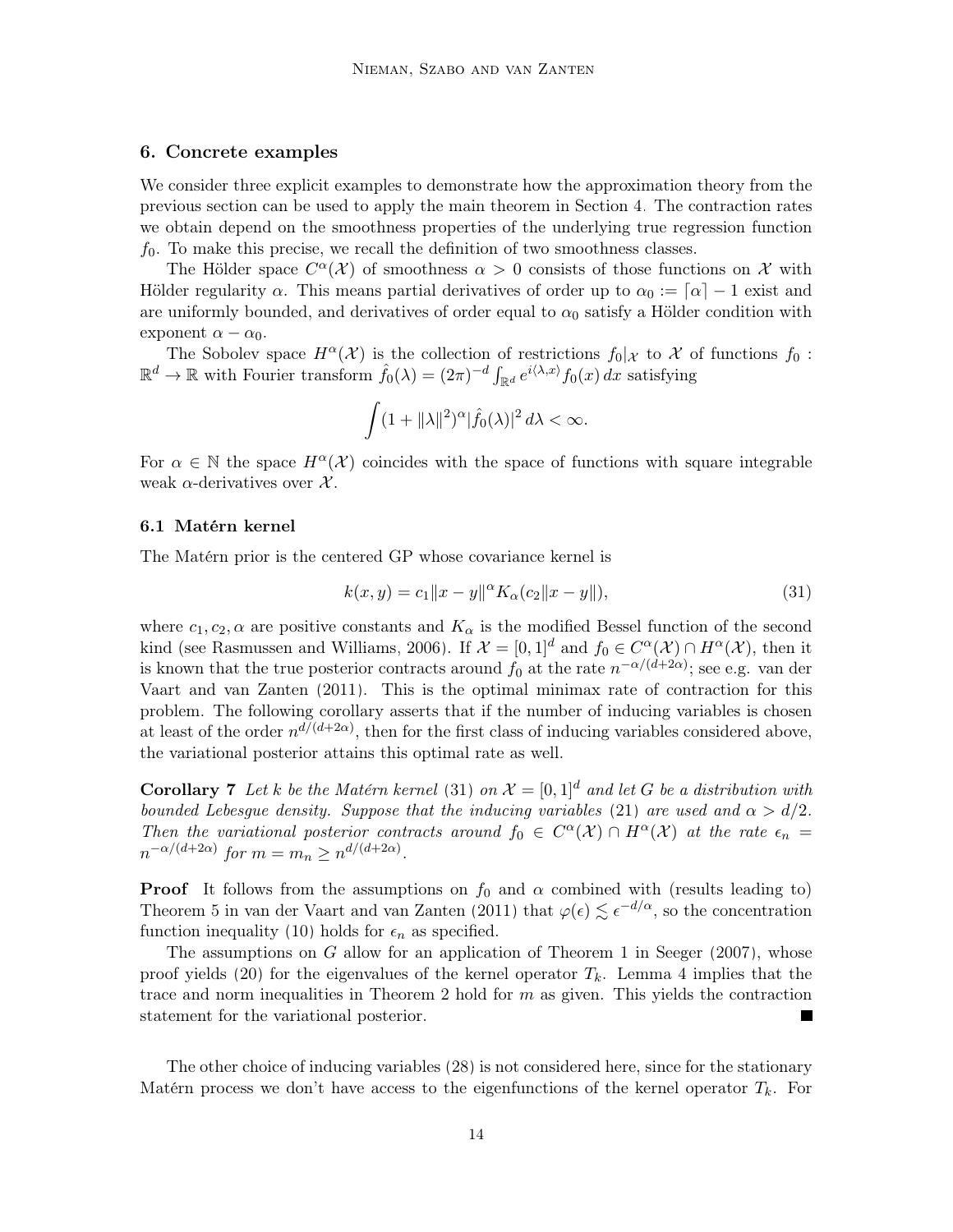# <span id="page-13-0"></span>6. Concrete examples

We consider three explicit examples to demonstrate how the approximation theory from the previous section can be used to apply the main theorem in Section [4.](#page-5-0) The contraction rates we obtain depend on the smoothness properties of the underlying true regression function  $f_0$ . To make this precise, we recall the definition of two smoothness classes.

The Hölder space  $C^{\alpha}(\mathcal{X})$  of smoothness  $\alpha > 0$  consists of those functions on X with Hölder regularity  $\alpha$ . This means partial derivatives of order up to  $\alpha_0 := [\alpha] - 1$  exist and are uniformly bounded, and derivatives of order equal to  $\alpha_0$  satisfy a Hölder condition with exponent  $\alpha - \alpha_0$ .

The Sobolev space  $H^{\alpha}(\mathcal{X})$  is the collection of restrictions  $f_0|\mathcal{X}$  to X of functions  $f_0$ :  $\mathbb{R}^d \to \mathbb{R}$  with Fourier transform  $\hat{f}_0(\lambda) = (2\pi)^{-d} \int_{\mathbb{R}^d} e^{i\langle \lambda, x \rangle} f_0(x) dx$  satisfying

$$
\int (1+\|\lambda\|^2)^{\alpha}|\widehat{f}_0(\lambda)|^2 d\lambda < \infty.
$$

For  $\alpha \in \mathbb{N}$  the space  $H^{\alpha}(\mathcal{X})$  coincides with the space of functions with square integrable weak  $\alpha$ -derivatives over  $\mathcal{X}$ .

#### 6.1 Matérn kernel

The Matérn prior is the centered GP whose covariance kernel is

<span id="page-13-1"></span>
$$
k(x, y) = c_1 ||x - y||^{\alpha} K_{\alpha}(c_2 ||x - y||),
$$
\n(31)

where  $c_1, c_2, \alpha$  are positive constants and  $K_\alpha$  is the modified Bessel function of the second kind (see [Rasmussen and Williams, 2006\)](#page-24-0). If  $\mathcal{X} = [0,1]^d$  and  $f_0 \in C^{\alpha}(\mathcal{X}) \cap H^{\alpha}(\mathcal{X})$ , then it is known that the true posterior contracts around  $f_0$  at the rate  $n^{-\alpha/(d+2\alpha)}$ ; see e.g. [van der](#page-25-6) [Vaart and van Zanten](#page-25-6) [\(2011\)](#page-25-6). This is the optimal minimax rate of contraction for this problem. The following corollary asserts that if the number of inducing variables is chosen at least of the order  $n^{d/(d+2\alpha)}$ , then for the first class of inducing variables considered above, the variational posterior attains this optimal rate as well.

<span id="page-13-2"></span>**Corollary 7** Let k be the Matérn kernel [\(31\)](#page-13-1) on  $\mathcal{X} = [0,1]^d$  and let G be a distribution with bounded Lebesgue density. Suppose that the inducing variables [\(21\)](#page-8-4) are used and  $\alpha > d/2$ . Then the variational posterior contracts around  $f_0 \in C^{\alpha}(\mathcal{X}) \cap H^{\alpha}(\mathcal{X})$  at the rate  $\epsilon_n =$  $n^{-\alpha/(d+2\alpha)}$  for  $m = m_n \geq n^{d/(d+2\alpha)}$ .

**Proof** It follows from the assumptions on  $f_0$  and  $\alpha$  combined with (results leading to) Theorem 5 in [van der Vaart and van Zanten](#page-25-6) [\(2011\)](#page-25-6) that  $\varphi(\epsilon) \lesssim \epsilon^{-d/\alpha}$ , so the concentration function inequality [\(10\)](#page-5-1) holds for  $\epsilon_n$  as specified.

The assumptions on  $G$  allow for an application of Theorem 1 in [Seeger](#page-25-7) [\(2007\)](#page-25-7), whose proof yields [\(20\)](#page-7-2) for the eigenvalues of the kernel operator  $T_k$ . Lemma [4](#page-9-2) implies that the trace and norm inequalities in Theorem [2](#page-5-2) hold for  $m$  as given. This yields the contraction statement for the variational posterior. L.

The other choice of inducing variables [\(28\)](#page-10-1) is not considered here, since for the stationary Matérn process we don't have access to the eigenfunctions of the kernel operator  $T_k$ . For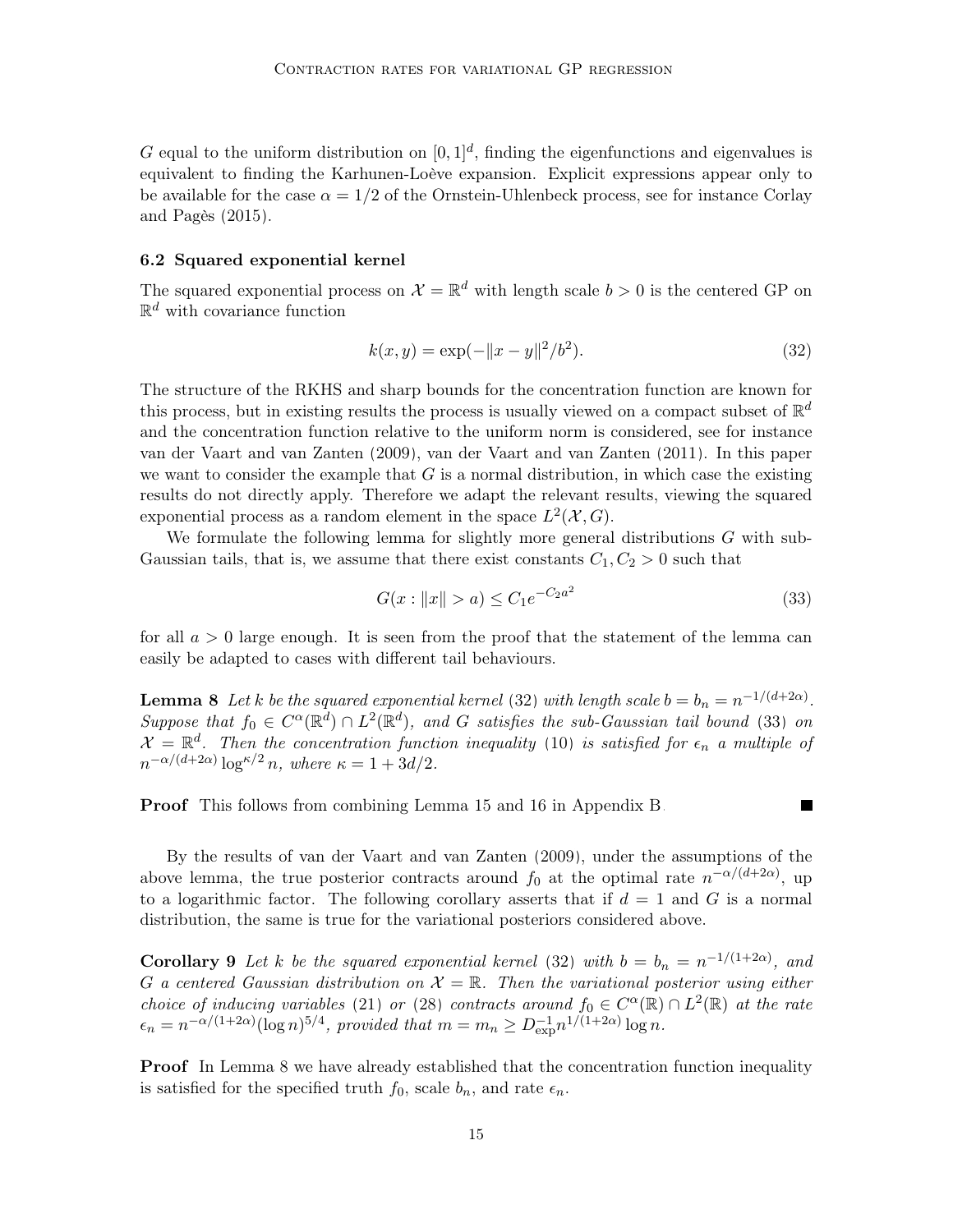G equal to the uniform distribution on  $[0,1]^d$ , finding the eigenfunctions and eigenvalues is equivalent to finding the Karhunen-Loève expansion. Explicit expressions appear only to be available for the case  $\alpha = 1/2$  of the Ornstein-Uhlenbeck process, see for instance [Corlay](#page-24-10) [and Pagès](#page-24-10) [\(2015\)](#page-24-10).

# 6.2 Squared exponential kernel

The squared exponential process on  $\mathcal{X} = \mathbb{R}^d$  with length scale  $b > 0$  is the centered GP on  $\mathbb{R}^d$  with covariance function

<span id="page-14-0"></span>
$$
k(x, y) = \exp(-\|x - y\|^2/b^2).
$$
 (32)

The structure of the RKHS and sharp bounds for the concentration function are known for this process, but in existing results the process is usually viewed on a compact subset of  $\mathbb{R}^d$ and the concentration function relative to the uniform norm is considered, see for instance [van der Vaart and van Zanten](#page-25-8) [\(2009\)](#page-25-8), [van der Vaart and van Zanten](#page-25-6) [\(2011\)](#page-25-6). In this paper we want to consider the example that  $G$  is a normal distribution, in which case the existing results do not directly apply. Therefore we adapt the relevant results, viewing the squared exponential process as a random element in the space  $L^2(\mathcal{X}, G)$ .

We formulate the following lemma for slightly more general distributions G with sub-Gaussian tails, that is, we assume that there exist constants  $C_1, C_2 > 0$  such that

$$
G(x: \|x\| > a) \le C_1 e^{-C_2 a^2}
$$
\n(33)

<span id="page-14-1"></span> $\blacksquare$ 

for all  $a > 0$  large enough. It is seen from the proof that the statement of the lemma can easily be adapted to cases with different tail behaviours.

<span id="page-14-2"></span>**Lemma 8** Let k be the squared exponential kernel [\(32\)](#page-14-0) with length scale  $b = b_n = n^{-1/(d+2\alpha)}$ . Suppose that  $f_0 \in C^{\alpha}(\mathbb{R}^d) \cap L^2(\mathbb{R}^d)$ , and G satisfies the sub-Gaussian tail bound [\(33\)](#page-14-1) on  $\mathcal{X} = \mathbb{R}^d$ . Then the concentration function inequality [\(10\)](#page-5-1) is satisfied for  $\epsilon_n$  a multiple of  $n^{-\alpha/(d+2\alpha)}\log^{\kappa/2} n$ , where  $\kappa = 1 + 3d/2$ .

Proof This follows from combining Lemma [15](#page-23-0) and [16](#page-23-1) in Appendix [B.](#page-22-0)

By the results of [van der Vaart and van Zanten](#page-25-8) [\(2009\)](#page-25-8), under the assumptions of the above lemma, the true posterior contracts around  $f_0$  at the optimal rate  $n^{-\alpha/(d+2\alpha)}$ , up to a logarithmic factor. The following corollary asserts that if  $d = 1$  and G is a normal distribution, the same is true for the variational posteriors considered above.

<span id="page-14-3"></span>**Corollary 9** Let k be the squared exponential kernel [\(32\)](#page-14-0) with  $b = b_n = n^{-1/(1+2\alpha)}$ , and G a centered Gaussian distribution on  $\mathcal{X} = \mathbb{R}$ . Then the variational posterior using either choice of inducing variables [\(21\)](#page-8-4) or [\(28\)](#page-10-1) contracts around  $f_0 \in C^{\alpha}(\mathbb{R}) \cap L^2(\mathbb{R})$  at the rate  $\epsilon_n = n^{-\alpha/(1+2\alpha)} (\log n)^{5/4}$ , provided that  $m = m_n \geq D_{\exp}^{-1} n^{1/(1+2\alpha)} \log n$ .

**Proof** In Lemma [8](#page-14-2) we have already established that the concentration function inequality is satisfied for the specified truth  $f_0$ , scale  $b_n$ , and rate  $\epsilon_n$ .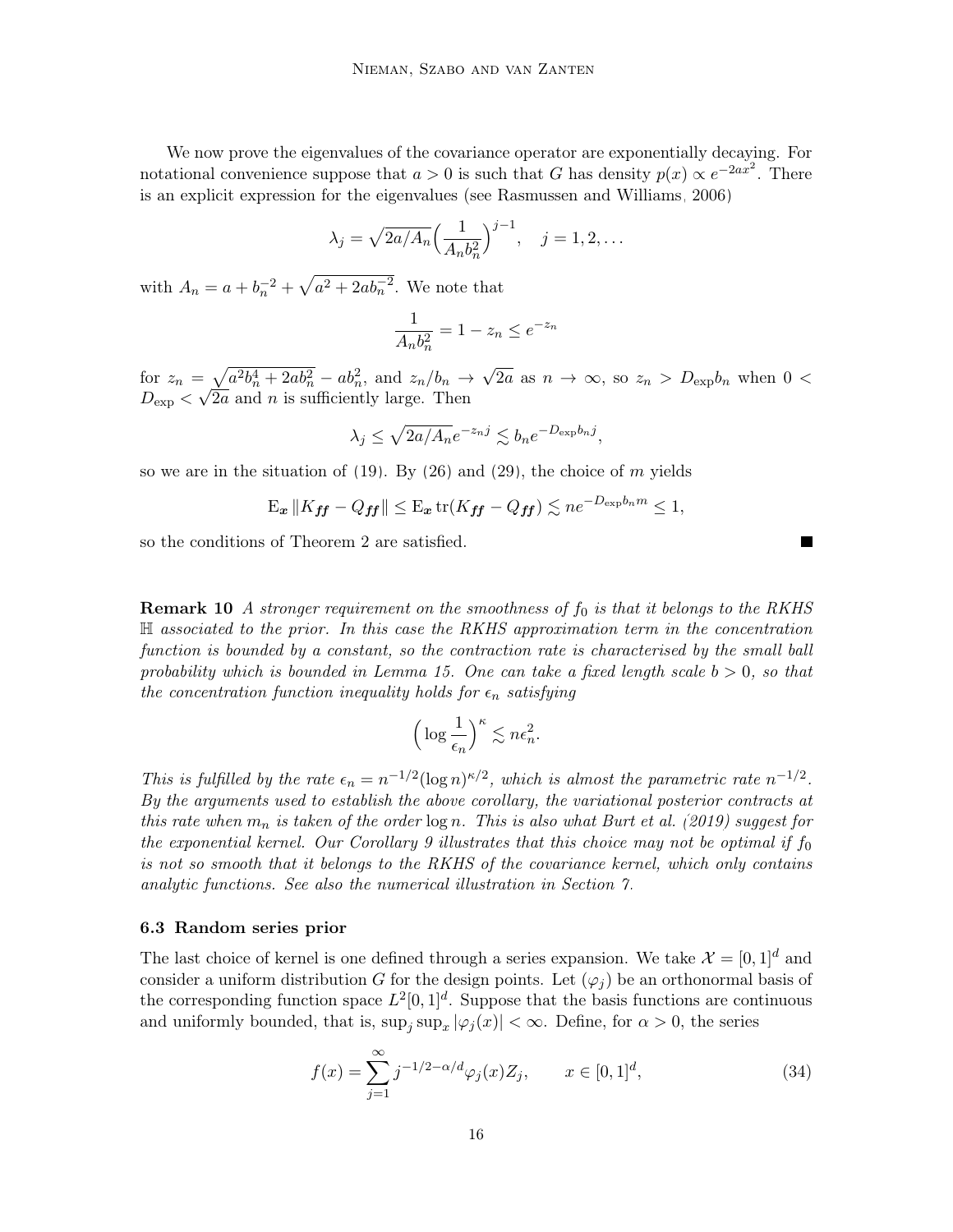We now prove the eigenvalues of the covariance operator are exponentially decaying. For notational convenience suppose that  $a > 0$  is such that G has density  $p(x) \propto e^{-2ax^2}$ . There is an explicit expression for the eigenvalues (see [Rasmussen and Williams, 2006\)](#page-24-0)

$$
\lambda_j = \sqrt{2a/A_n} \left(\frac{1}{A_n b_n^2}\right)^{j-1}, \quad j = 1, 2, \dots
$$

with  $A_n = a + b_n^{-2} + \sqrt{a^2 + 2ab_n^{-2}}$ . We note that

$$
\frac{1}{A_n b_n^2} = 1 - z_n \le e^{-z_n}
$$

for  $z_n = \sqrt{a^2b_n^4 + 2ab_n^2} - ab_n^2$ , and  $z_n/b_n \to \sqrt{2a}$  as  $n \to \infty$ , so  $z_n > D_{exp}b_n$  when  $0 <$  $D_{\exp} < \sqrt{2a}$  and n is sufficiently large. Then

$$
\lambda_j \le \sqrt{2a/A_n}e^{-z_n j} \lesssim b_n e^{-D_{\exp}b_n j},
$$

so we are in the situation of  $(19)$ . By  $(26)$  and  $(29)$ , the choice of m yields

$$
\mathbf{E}_{\boldsymbol{x}}\left\|K_{\boldsymbol{f}\boldsymbol{f}}-Q_{\boldsymbol{f}\boldsymbol{f}}\right\| \leq \mathbf{E}_{\boldsymbol{x}}\operatorname{tr}(K_{\boldsymbol{f}\boldsymbol{f}}-Q_{\boldsymbol{f}\boldsymbol{f}}) \lesssim ne^{-D_{\exp}b_n m} \leq 1,
$$

so the conditions of Theorem [2](#page-5-2) are satisfied.

**Remark 10** A stronger requirement on the smoothness of  $f_0$  is that it belongs to the RKHS H associated to the prior. In this case the RKHS approximation term in the concentration function is bounded by a constant, so the contraction rate is characterised by the small ball probability which is bounded in Lemma [15.](#page-23-0) One can take a fixed length scale  $b > 0$ , so that the concentration function inequality holds for  $\epsilon_n$  satisfying

<span id="page-15-0"></span>
$$
\left(\log\frac{1}{\epsilon_n}\right)^{\kappa} \lesssim n\epsilon_n^2.
$$

This is fulfilled by the rate  $\epsilon_n = n^{-1/2} (\log n)^{\kappa/2}$ , which is almost the parametric rate  $n^{-1/2}$ . By the arguments used to establish the above corollary, the variational posterior contracts at this rate when  $m_n$  is taken of the order  $\log n$ . This is also what [Burt et al.](#page-24-3) [\(2019\)](#page-24-3) suggest for the exponential kernel. Our Corollary [9](#page-14-3) illustrates that this choice may not be optimal if  $f_0$ is not so smooth that it belongs to the RKHS of the covariance kernel, which only contains analytic functions. See also the numerical illustration in Section [7.](#page-17-0)

#### 6.3 Random series prior

The last choice of kernel is one defined through a series expansion. We take  $\mathcal{X} = [0, 1]^d$  and consider a uniform distribution G for the design points. Let  $(\varphi_i)$  be an orthonormal basis of the corresponding function space  $L^2[0,1]^d$ . Suppose that the basis functions are continuous and uniformly bounded, that is,  $\sup_j \sup_x |\varphi_j(x)| < \infty$ . Define, for  $\alpha > 0$ , the series

$$
f(x) = \sum_{j=1}^{\infty} j^{-1/2 - \alpha/d} \varphi_j(x) Z_j, \qquad x \in [0, 1]^d,
$$
 (34)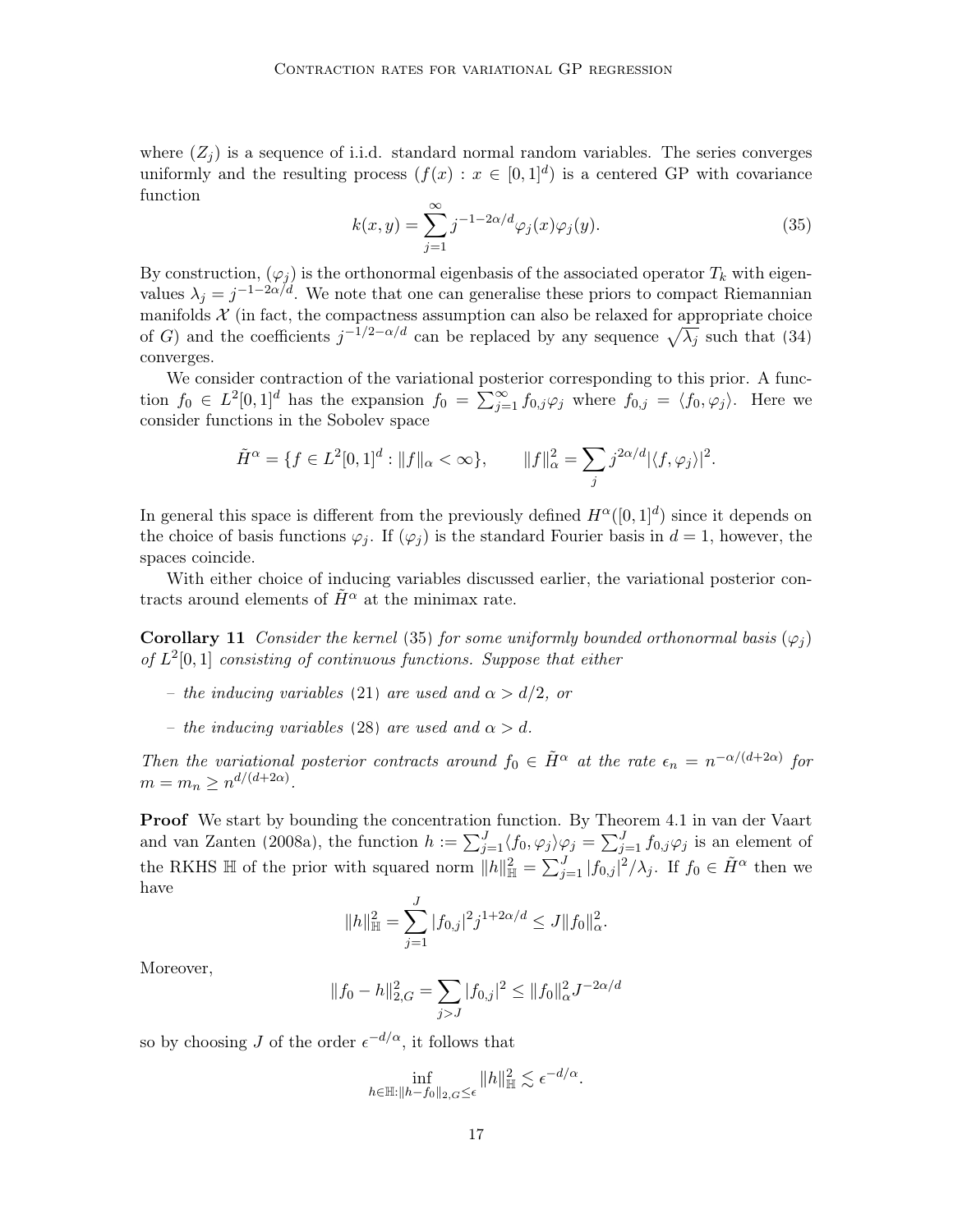<span id="page-16-0"></span>where  $(Z_i)$  is a sequence of i.i.d. standard normal random variables. The series converges uniformly and the resulting process  $(f(x) : x \in [0,1]^d)$  is a centered GP with covariance function

$$
k(x,y) = \sum_{j=1}^{\infty} j^{-1-2\alpha/d} \varphi_j(x) \varphi_j(y).
$$
 (35)

By construction,  $(\varphi_j)$  is the orthonormal eigenbasis of the associated operator  $T_k$  with eigenvalues  $\lambda_j = j^{-1-2\alpha/d}$ . We note that one can generalise these priors to compact Riemannian manifolds  $X$  (in fact, the compactness assumption can also be relaxed for appropriate choice of G) and the coefficients  $j^{-1/2-\alpha/d}$  can be replaced by any sequence  $\sqrt{\lambda_j}$  such that [\(34\)](#page-15-0) converges.

We consider contraction of the variational posterior corresponding to this prior. A function  $f_0 \in L^2[0,1]^d$  has the expansion  $f_0 = \sum_{j=1}^{\infty} f_{0,j} \varphi_j$  where  $f_{0,j} = \langle f_0, \varphi_j \rangle$ . Here we consider functions in the Sobolev space

$$
\tilde{H}^{\alpha} = \{ f \in L^{2}[0,1]^{d} : ||f||_{\alpha} < \infty \}, \qquad ||f||_{\alpha}^{2} = \sum_{j} j^{2\alpha/d} |\langle f, \varphi_{j} \rangle|^{2}.
$$

In general this space is different from the previously defined  $H^{\alpha}([0, 1]^d)$  since it depends on the choice of basis functions  $\varphi_j$ . If  $(\varphi_j)$  is the standard Fourier basis in  $d = 1$ , however, the spaces coincide.

With either choice of inducing variables discussed earlier, the variational posterior contracts around elements of  $\tilde{H}^{\alpha}$  at the minimax rate.

**Corollary 11** Consider the kernel [\(35\)](#page-16-0) for some uniformly bounded orthonormal basis  $(\varphi_i)$ of  $L^2[0,1]$  consisting of continuous functions. Suppose that either

- the inducing variables [\(21\)](#page-8-4) are used and  $\alpha > d/2$ , or
- the inducing variables [\(28\)](#page-10-1) are used and  $\alpha > d$ .

Then the variational posterior contracts around  $f_0 \in \tilde{H}^{\alpha}$  at the rate  $\epsilon_n = n^{-\alpha/(d+2\alpha)}$  for  $m = m_n \geq n^{d/(d+2\alpha)}$ .

Proof We start by bounding the concentration function. By Theorem 4.1 in [van der Vaart](#page-25-4) [and van Zanten](#page-25-4) [\(2008a\)](#page-25-4), the function  $h := \sum_{j=1}^{J} \langle f_0, \varphi_j \rangle \varphi_j = \sum_{j=1}^{J} f_{0,j} \varphi_j$  is an element of the RKHS  $\mathbb H$  of the prior with squared norm  $||h||_{\mathbb H}^2 = \sum_{j=1}^J |f_{0,j}|^2 / \lambda_j$ . If  $f_0 \in \tilde{H}^{\alpha}$  then we have

$$
||h||_{\mathbb{H}}^{2} = \sum_{j=1}^{J} |f_{0,j}|^{2} j^{1+2\alpha/d} \leq J||f_{0}||_{\alpha}^{2}.
$$

Moreover,

$$
||f_0 - h||_{2,G}^2 = \sum_{j>J} |f_{0,j}|^2 \le ||f_0||_{\alpha}^2 J^{-2\alpha/d}
$$

so by choosing J of the order  $\epsilon^{-d/\alpha}$ , it follows that

$$
\inf_{h \in \mathbb{H}: ||h - f_0||_{2, G} \le \epsilon} ||h||_{\mathbb{H}}^2 \lesssim \epsilon^{-d/\alpha}.
$$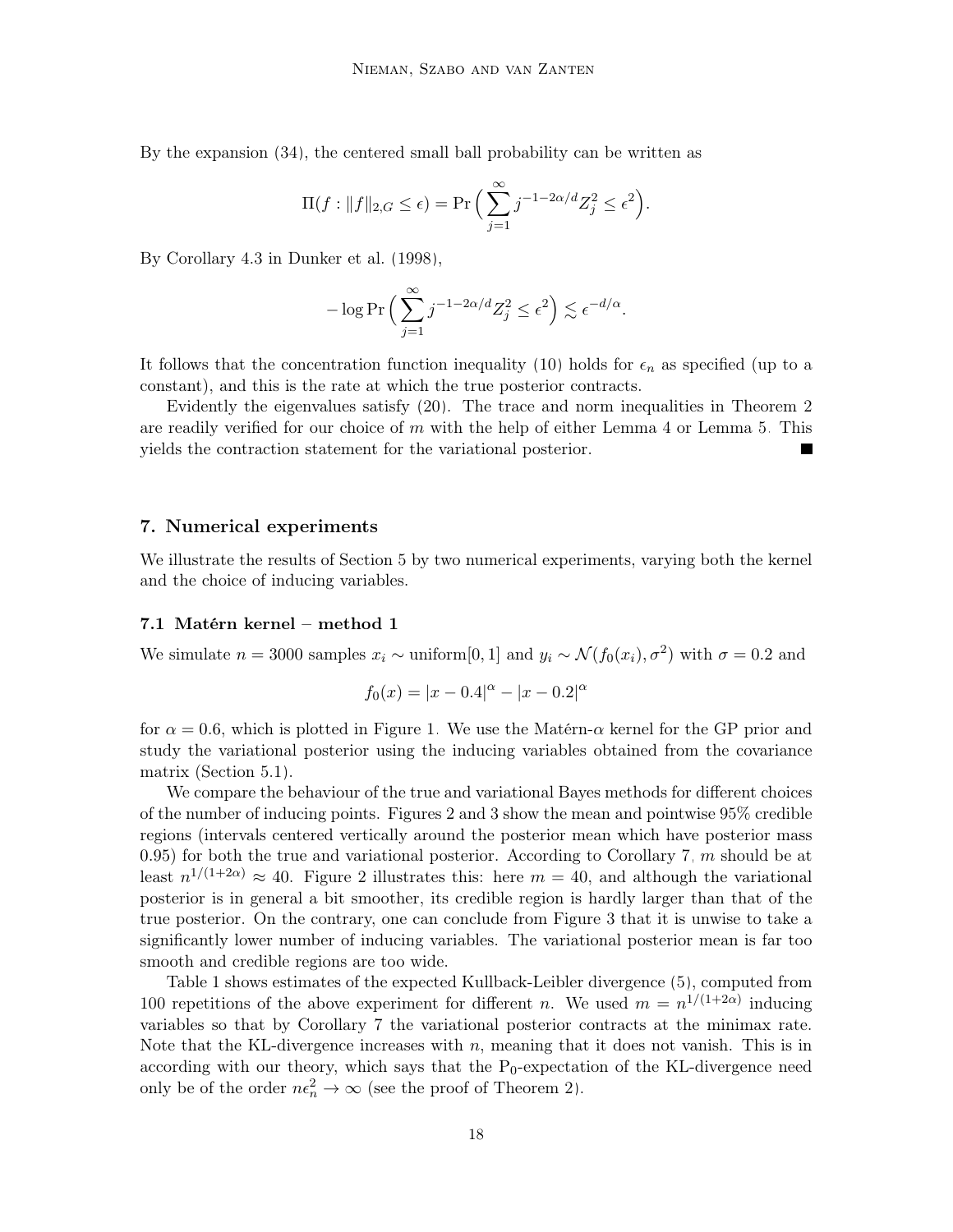By the expansion [\(34\)](#page-15-0), the centered small ball probability can be written as

$$
\Pi(f: ||f||_{2,G} \le \epsilon) = \Pr\Big(\sum_{j=1}^{\infty} j^{-1-2\alpha/d} Z_j^2 \le \epsilon^2\Big).
$$

By Corollary 4.3 in [Dunker et al.](#page-24-11) [\(1998\)](#page-24-11),

$$
-\log \Pr \Big( \sum_{j=1}^{\infty} j^{-1-2\alpha/d} Z_j^2 \leq \epsilon^2 \Big) \lesssim \epsilon^{-d/\alpha}.
$$

It follows that the concentration function inequality [\(10\)](#page-5-1) holds for  $\epsilon_n$  as specified (up to a constant), and this is the rate at which the true posterior contracts.

Evidently the eigenvalues satisfy [\(20\)](#page-7-2). The trace and norm inequalities in Theorem [2](#page-5-2) are readily verified for our choice of  $m$  with the help of either Lemma [4](#page-9-2) or Lemma [5.](#page-10-3) This yields the contraction statement for the variational posterior.

#### <span id="page-17-0"></span>7. Numerical experiments

We illustrate the results of Section [5](#page-7-3) by two numerical experiments, varying both the kernel and the choice of inducing variables.

# 7.1 Matérn kernel – method 1

We simulate  $n = 3000$  samples  $x_i \sim$  uniform[0, 1] and  $y_i \sim \mathcal{N}(f_0(x_i), \sigma^2)$  with  $\sigma = 0.2$  and

$$
f_0(x) = |x - 0.4|^{\alpha} - |x - 0.2|^{\alpha}
$$

for  $\alpha = 0.6$ , which is plotted in Figure [1.](#page-18-0) We use the Matérn- $\alpha$  kernel for the GP prior and study the variational posterior using the inducing variables obtained from the covariance matrix (Section [5.1\)](#page-8-0).

We compare the behaviour of the true and variational Bayes methods for different choices of the number of inducing points. Figures [2](#page-18-1) and [3](#page-18-2) show the mean and pointwise 95% credible regions (intervals centered vertically around the posterior mean which have posterior mass 0.95) for both the true and variational posterior. According to Corollary [7,](#page-13-2)  $m$  should be at least  $n^{1/(1+2\alpha)} \approx 40$ . Figure [2](#page-18-1) illustrates this: here  $m = 40$ , and although the variational posterior is in general a bit smoother, its credible region is hardly larger than that of the true posterior. On the contrary, one can conclude from Figure [3](#page-18-2) that it is unwise to take a significantly lower number of inducing variables. The variational posterior mean is far too smooth and credible regions are too wide.

Table [1](#page-18-3) shows estimates of the expected Kullback-Leibler divergence [\(5\)](#page-3-2), computed from 100 repetitions of the above experiment for different *n*. We used  $m = n^{1/(1+2\alpha)}$  inducing variables so that by Corollary [7](#page-13-2) the variational posterior contracts at the minimax rate. Note that the KL-divergence increases with  $n$ , meaning that it does not vanish. This is in according with our theory, which says that the  $P_0$ -expectation of the KL-divergence need only be of the order  $n\epsilon_n^2 \to \infty$  (see the proof of Theorem [2\)](#page-5-2).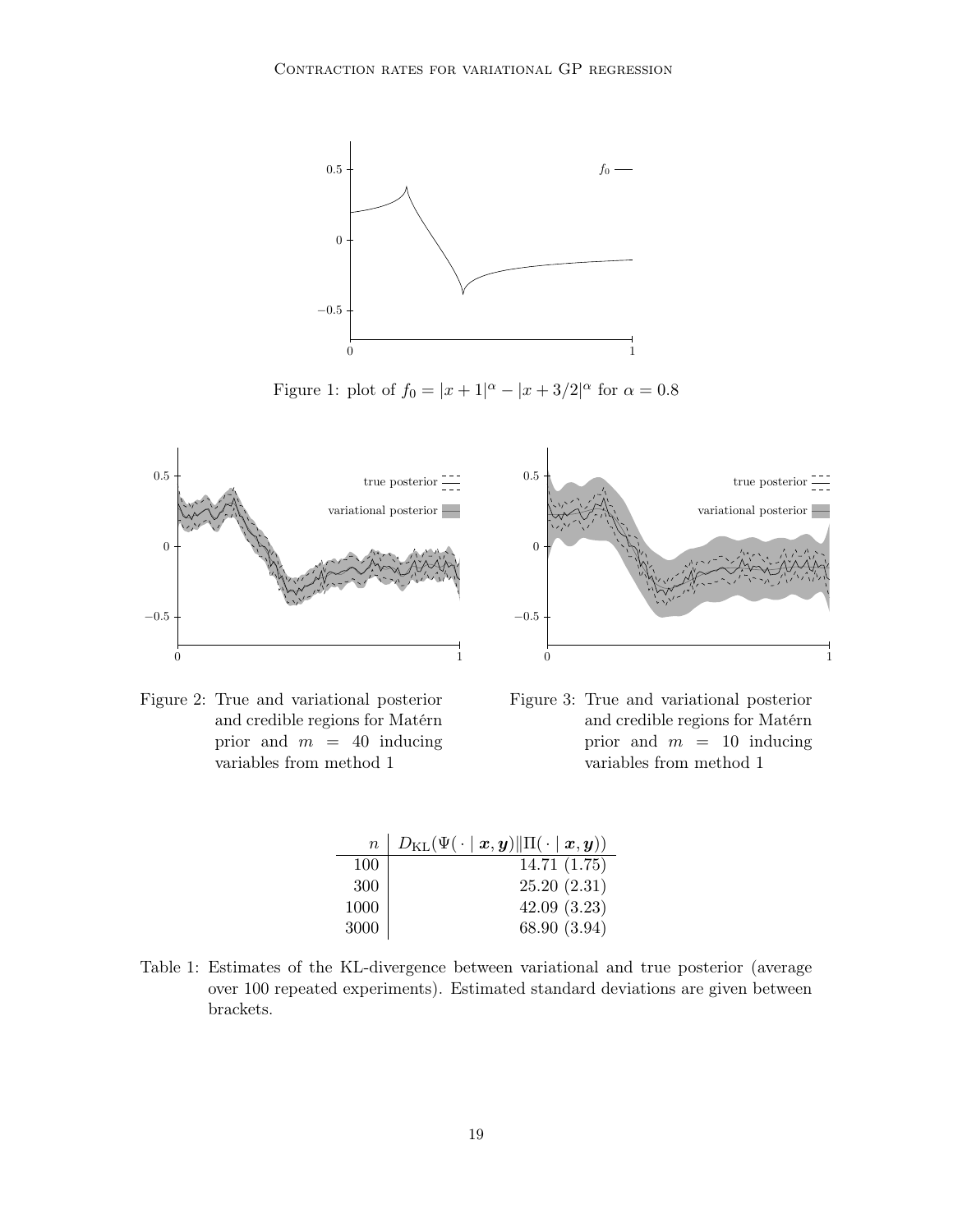

<span id="page-18-0"></span>Figure 1: plot of  $f_0 = |x + 1|^{\alpha} - |x + 3/2|^{\alpha}$  for  $\alpha = 0.8$ 





<span id="page-18-1"></span>Figure 2: True and variational posterior and credible regions for Matérn prior and  $m = 40$  inducing variables from method 1

<span id="page-18-2"></span>

| $\,n$ | $D_{\mathrm{KL}}(\Psi(\cdot \mid \boldsymbol{x}, \boldsymbol{y}) \ \Pi(\cdot \mid \boldsymbol{x}, \boldsymbol{y}))$ |
|-------|---------------------------------------------------------------------------------------------------------------------|
| 100   | 14.71(1.75)                                                                                                         |
| 300   | 25.20(2.31)                                                                                                         |
| 1000  | 42.09(3.23)                                                                                                         |
| 3000  | 68.90 (3.94)                                                                                                        |

<span id="page-18-3"></span>Table 1: Estimates of the KL-divergence between variational and true posterior (average over 100 repeated experiments). Estimated standard deviations are given between brackets.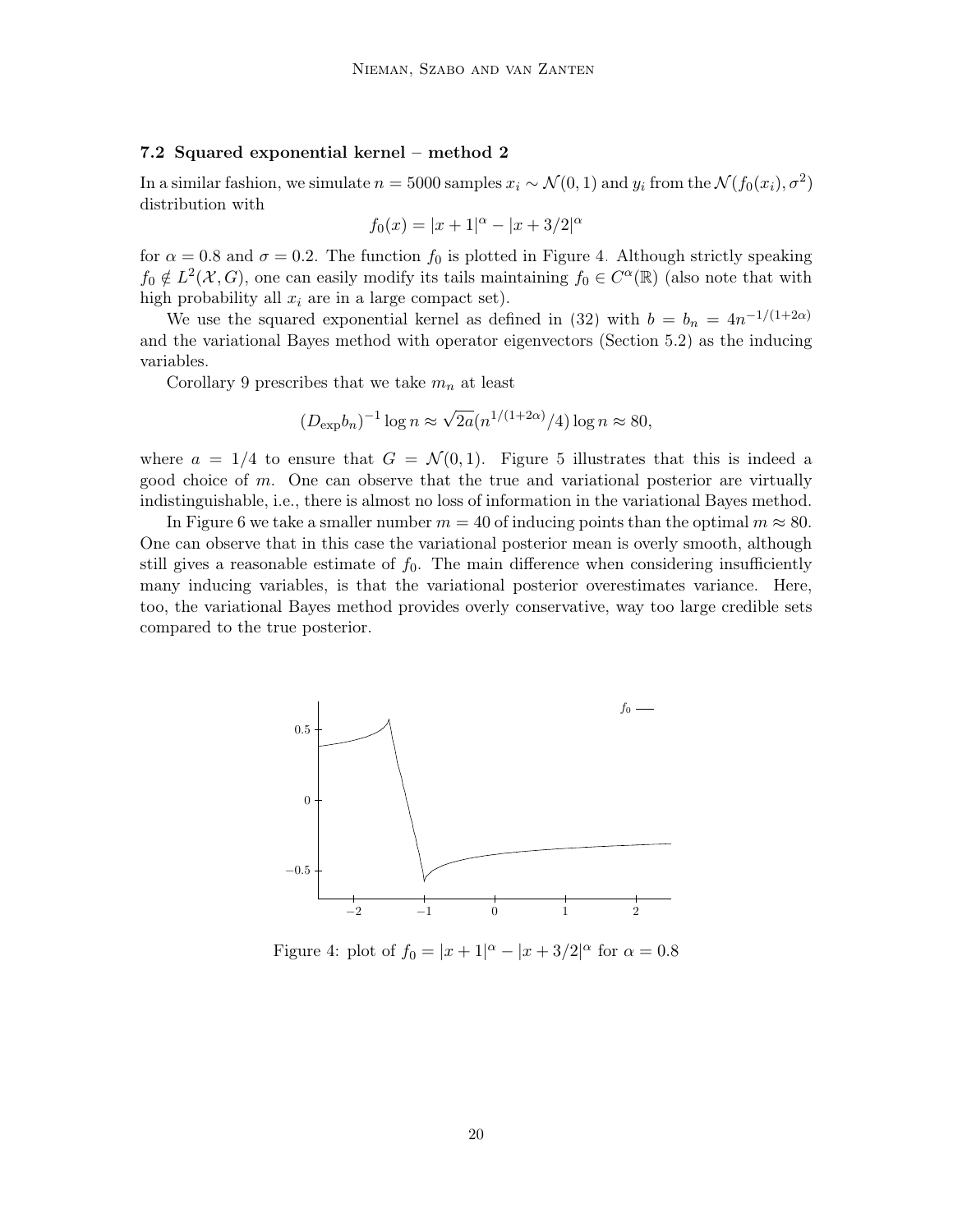#### 7.2 Squared exponential kernel – method 2

In a similar fashion, we simulate  $n = 5000$  samples  $x_i \sim \mathcal{N}(0, 1)$  and  $y_i$  from the  $\mathcal{N}(f_0(x_i), \sigma^2)$ distribution with

$$
f_0(x) = |x+1|^{\alpha} - |x+3/2|^{\alpha}
$$

for  $\alpha = 0.8$  and  $\sigma = 0.2$ . The function  $f_0$  is plotted in Figure [4.](#page-19-0) Although strictly speaking  $f_0 \notin L^2(\mathcal{X}, G)$ , one can easily modify its tails maintaining  $f_0 \in C^{\alpha}(\mathbb{R})$  (also note that with high probability all  $x_i$  are in a large compact set).

We use the squared exponential kernel as defined in [\(32\)](#page-14-0) with  $b = b_n = 4n^{-1/(1+2\alpha)}$ and the variational Bayes method with operator eigenvectors (Section [5.2\)](#page-10-0) as the inducing variables.

Corollary [9](#page-14-3) prescribes that we take  $m_n$  at least

$$
(D_{\exp}b_n)^{-1}\log n \approx \sqrt{2a}(n^{1/(1+2\alpha)}/4)\log n \approx 80,
$$

where  $a = 1/4$  to ensure that  $G = \mathcal{N}(0, 1)$ . Figure [5](#page-20-0) illustrates that this is indeed a good choice of  $m$ . One can observe that the true and variational posterior are virtually indistinguishable, i.e., there is almost no loss of information in the variational Bayes method.

In Figure [6](#page-20-1) we take a smaller number  $m = 40$  of inducing points than the optimal  $m \approx 80$ . One can observe that in this case the variational posterior mean is overly smooth, although still gives a reasonable estimate of  $f_0$ . The main difference when considering insufficiently many inducing variables, is that the variational posterior overestimates variance. Here, too, the variational Bayes method provides overly conservative, way too large credible sets compared to the true posterior.



<span id="page-19-0"></span>Figure 4: plot of  $f_0 = |x + 1|^{\alpha} - |x + 3/2|^{\alpha}$  for  $\alpha = 0.8$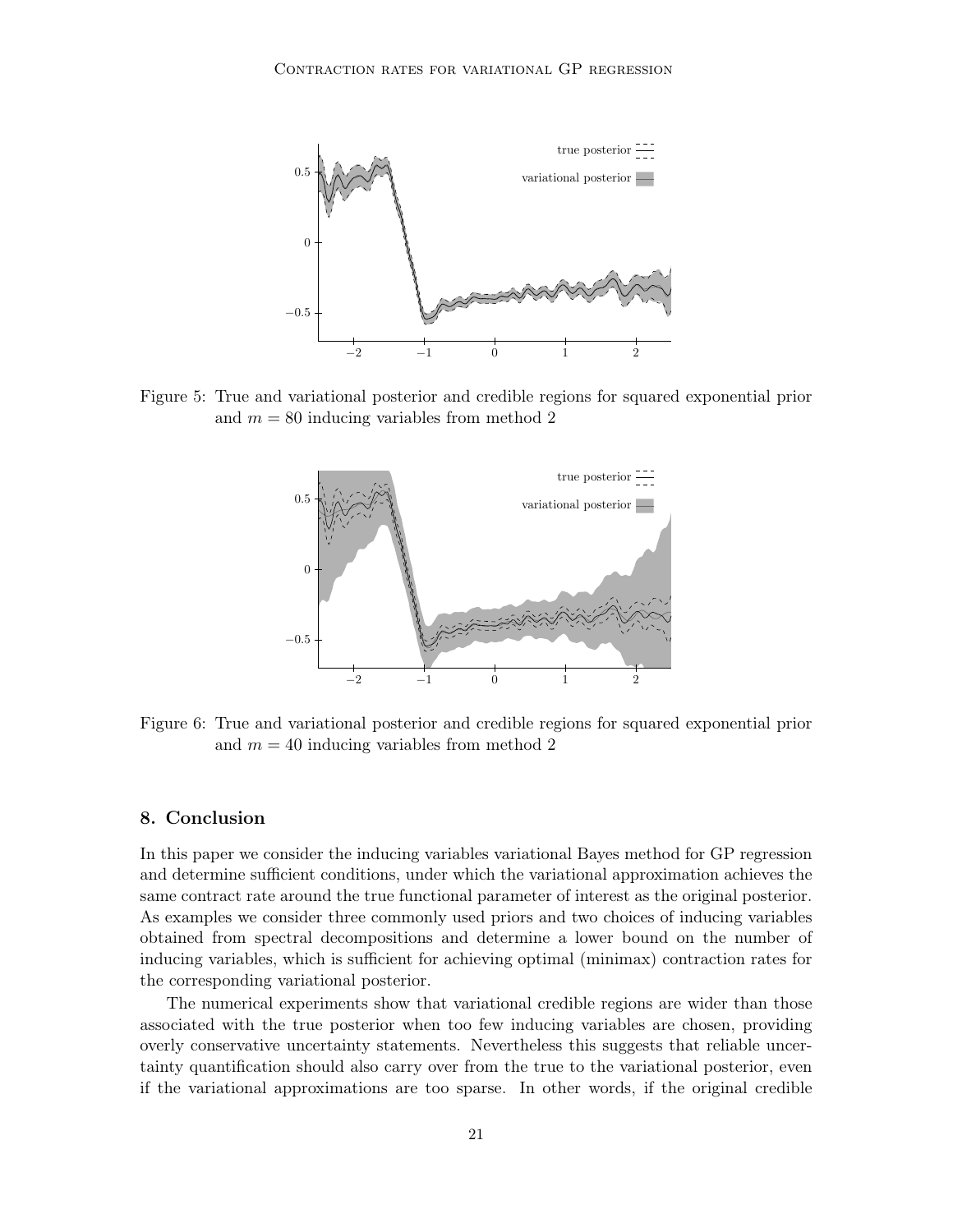

<span id="page-20-0"></span>Figure 5: True and variational posterior and credible regions for squared exponential prior and  $m = 80$  inducing variables from method 2



<span id="page-20-1"></span>Figure 6: True and variational posterior and credible regions for squared exponential prior and  $m = 40$  inducing variables from method 2

# 8. Conclusion

In this paper we consider the inducing variables variational Bayes method for GP regression and determine sufficient conditions, under which the variational approximation achieves the same contract rate around the true functional parameter of interest as the original posterior. As examples we consider three commonly used priors and two choices of inducing variables obtained from spectral decompositions and determine a lower bound on the number of inducing variables, which is sufficient for achieving optimal (minimax) contraction rates for the corresponding variational posterior.

The numerical experiments show that variational credible regions are wider than those associated with the true posterior when too few inducing variables are chosen, providing overly conservative uncertainty statements. Nevertheless this suggests that reliable uncertainty quantification should also carry over from the true to the variational posterior, even if the variational approximations are too sparse. In other words, if the original credible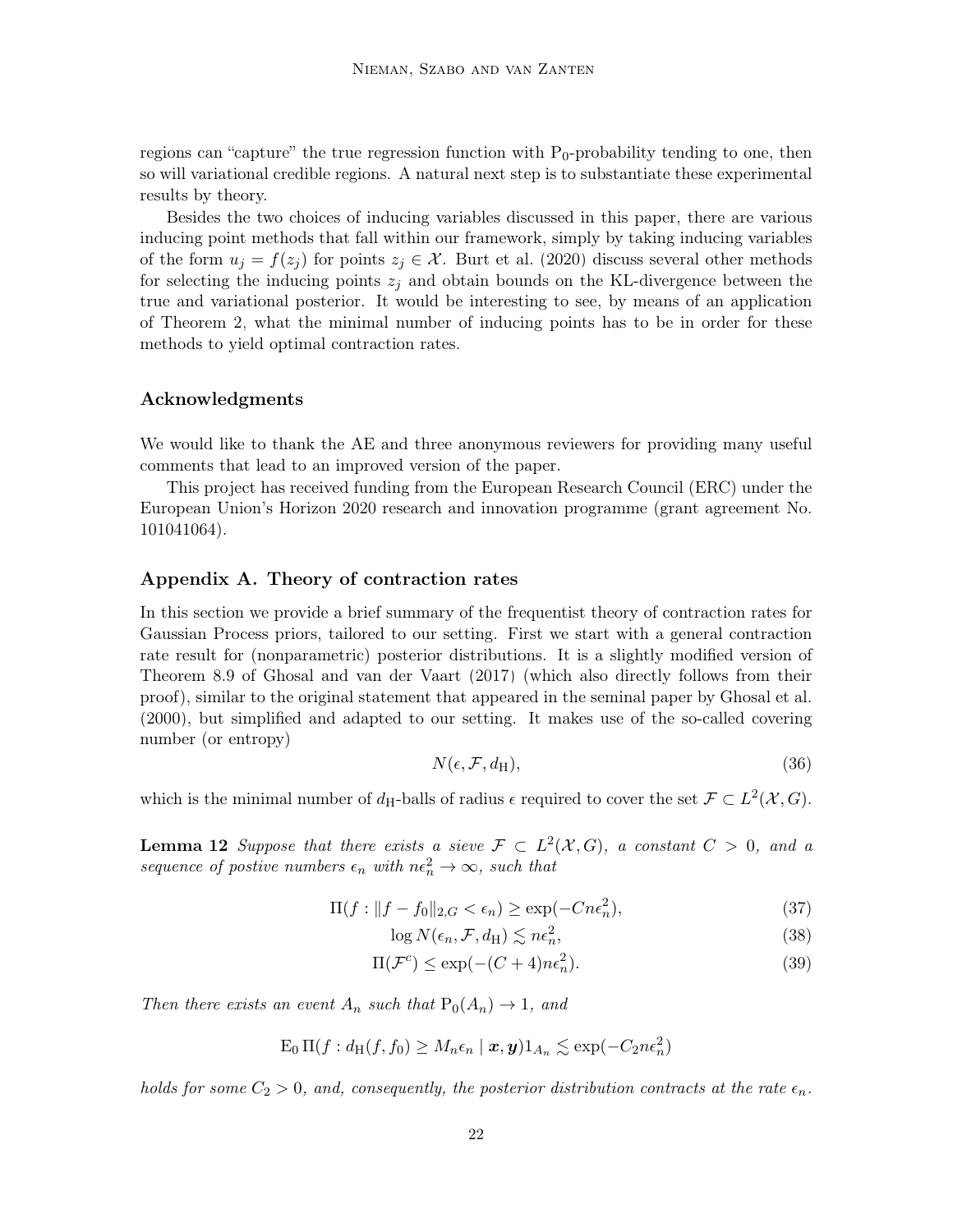regions can "capture" the true regression function with  $P_0$ -probability tending to one, then so will variational credible regions. A natural next step is to substantiate these experimental results by theory.

Besides the two choices of inducing variables discussed in this paper, there are various inducing point methods that fall within our framework, simply by taking inducing variables of the form  $u_j = f(z_j)$  for points  $z_j \in \mathcal{X}$ . [Burt et al.](#page-24-8) [\(2020\)](#page-24-8) discuss several other methods for selecting the inducing points  $z_i$  and obtain bounds on the KL-divergence between the true and variational posterior. It would be interesting to see, by means of an application of Theorem [2,](#page-5-2) what the minimal number of inducing points has to be in order for these methods to yield optimal contraction rates.

#### Acknowledgments

We would like to thank the AE and three anonymous reviewers for providing many useful comments that lead to an improved version of the paper.

This project has received funding from the European Research Council (ERC) under the European Union's Horizon 2020 research and innovation programme (grant agreement No. 101041064).

## <span id="page-21-0"></span>Appendix A. Theory of contraction rates

In this section we provide a brief summary of the frequentist theory of contraction rates for Gaussian Process priors, tailored to our setting. First we start with a general contraction rate result for (nonparametric) posterior distributions. It is a slightly modified version of Theorem 8.9 of [Ghosal and van der Vaart](#page-24-5) [\(2017\)](#page-24-5) (which also directly follows from their proof), similar to the original statement that appeared in the seminal paper by [Ghosal et al.](#page-24-12) [\(2000\)](#page-24-12), but simplified and adapted to our setting. It makes use of the so-called covering number (or entropy)

<span id="page-21-5"></span><span id="page-21-4"></span><span id="page-21-1"></span>
$$
N(\epsilon, \mathcal{F}, d_H), \tag{36}
$$

<span id="page-21-2"></span>which is the minimal number of  $d_H$ -balls of radius  $\epsilon$  required to cover the set  $\mathcal{F} \subset L^2(\mathcal{X}, G)$ .

**Lemma 12** Suppose that there exists a sieve  $\mathcal{F} \subset L^2(\mathcal{X}, G)$ , a constant  $C > 0$ , and a sequence of postive numbers  $\epsilon_n$  with  $n\epsilon_n^2 \to \infty$ , such that

$$
\Pi(f: \|f - f_0\|_{2,G} < \epsilon_n) \ge \exp(-Cn\epsilon_n^2),\tag{37}
$$

<span id="page-21-3"></span>
$$
\log N(\epsilon_n, \mathcal{F}, d_H) \lesssim n\epsilon_n^2,\tag{38}
$$

$$
\Pi(\mathcal{F}^c) \le \exp(-(C+4)n\epsilon_n^2). \tag{39}
$$

Then there exists an event  $A_n$  such that  $P_0(A_n) \to 1$ , and

$$
\operatorname{E}_{0} \Pi(f : d_{\mathrm{H}}(f, f_{0}) \geq M_{n} \epsilon_{n} \mid \boldsymbol{x}, \boldsymbol{y}) \mathbb{1}_{A_{n}} \lesssim \exp(-C_{2} n \epsilon_{n}^{2})
$$

holds for some  $C_2 > 0$ , and, consequently, the posterior distribution contracts at the rate  $\epsilon_n$ .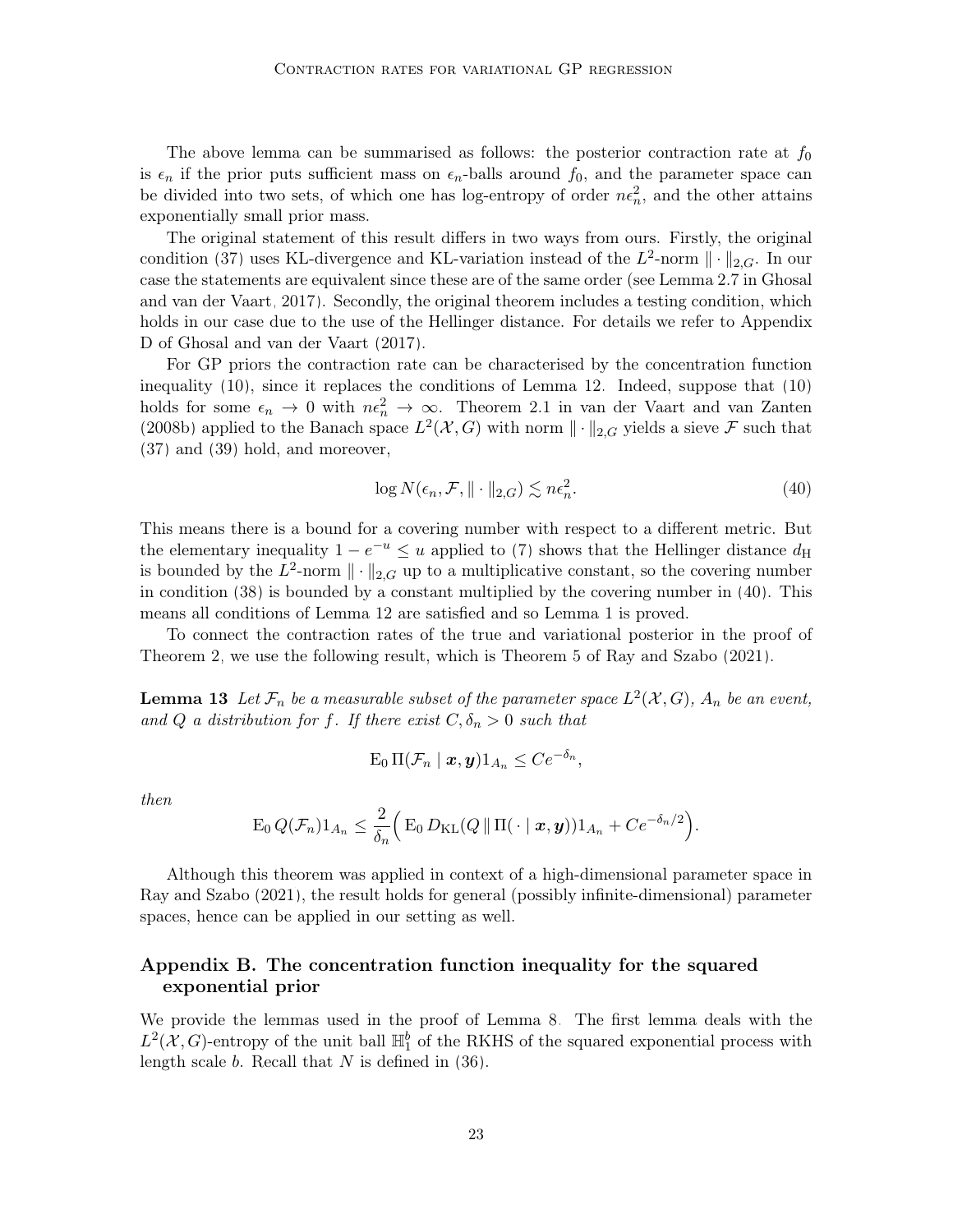The above lemma can be summarised as follows: the posterior contraction rate at  $f_0$ is  $\epsilon_n$  if the prior puts sufficient mass on  $\epsilon_n$ -balls around  $f_0$ , and the parameter space can be divided into two sets, of which one has log-entropy of order  $n\epsilon_n^2$ , and the other attains exponentially small prior mass.

The original statement of this result differs in two ways from ours. Firstly, the original condition [\(37\)](#page-21-1) uses KL-divergence and KL-variation instead of the  $L^2$ -norm  $\|\cdot\|_{2,G}$ . In our case the statements are equivalent since these are of the same order (see Lemma 2.7 in [Ghosal](#page-24-5) [and van der Vaart, 2017\)](#page-24-5). Secondly, the original theorem includes a testing condition, which holds in our case due to the use of the Hellinger distance. For details we refer to Appendix D of [Ghosal and van der Vaart](#page-24-5) [\(2017\)](#page-24-5).

For GP priors the contraction rate can be characterised by the concentration function inequality [\(10\)](#page-5-1), since it replaces the conditions of Lemma [12.](#page-21-2) Indeed, suppose that [\(10\)](#page-5-1) holds for some  $\epsilon_n \to 0$  with  $n\epsilon_n^2 \to \infty$ . Theorem 2.1 in [van der Vaart and van Zanten](#page-25-1) [\(2008b\)](#page-25-1) applied to the Banach space  $L^2(\mathcal{X}, G)$  with norm  $\|\cdot\|_{2,G}$  yields a sieve  $\mathcal F$  such that [\(37\)](#page-21-1) and [\(39\)](#page-21-3) hold, and moreover,

<span id="page-22-2"></span>
$$
\log N(\epsilon_n, \mathcal{F}, \| \cdot \|_{2,G}) \lesssim n\epsilon_n^2. \tag{40}
$$

This means there is a bound for a covering number with respect to a different metric. But the elementary inequality  $1 - e^{-u} \leq u$  applied to [\(7\)](#page-4-2) shows that the Hellinger distance  $d_H$ is bounded by the  $L^2$ -norm  $\|\cdot\|_{2,G}$  up to a multiplicative constant, so the covering number in condition [\(38\)](#page-21-4) is bounded by a constant multiplied by the covering number in [\(40\)](#page-22-2). This means all conditions of Lemma [12](#page-21-2) are satisfied and so Lemma [1](#page-5-3) is proved.

To connect the contraction rates of the true and variational posterior in the proof of Theorem [2,](#page-5-2) we use the following result, which is Theorem 5 of [Ray and Szabo](#page-24-13) [\(2021\)](#page-24-13).

<span id="page-22-1"></span>**Lemma 13** Let  $\mathcal{F}_n$  be a measurable subset of the parameter space  $L^2(\mathcal{X}, G)$ ,  $A_n$  be an event, and Q a distribution for f. If there exist  $C, \delta_n > 0$  such that

$$
\mathrm{E}_0 \,\Pi(\mathcal{F}_n \mid \boldsymbol{x}, \boldsymbol{y}) 1_{A_n} \leq C e^{-\delta_n},
$$

then

$$
\mathrm{E}_0 Q(\mathcal{F}_n) 1_{A_n} \leq \frac{2}{\delta_n} \Big( \mathrm{E}_0 D_{\mathrm{KL}}(Q \, \| \, \mathrm{\Pi}(\, \cdot \mid \boldsymbol{x}, \boldsymbol{y})) 1_{A_n} + C e^{-\delta_n/2} \Big).
$$

Although this theorem was applied in context of a high-dimensional parameter space in [Ray and Szabo](#page-24-13) [\(2021\)](#page-24-13), the result holds for general (possibly infinite-dimensional) parameter spaces, hence can be applied in our setting as well.

# <span id="page-22-0"></span>Appendix B. The concentration function inequality for the squared exponential prior

<span id="page-22-3"></span>We provide the lemmas used in the proof of Lemma [8.](#page-14-2) The first lemma deals with the  $L^2(X, G)$ -entropy of the unit ball  $\mathbb{H}_1^b$  of the RKHS of the squared exponential process with length scale  $b$ . Recall that  $N$  is defined in [\(36\)](#page-21-5).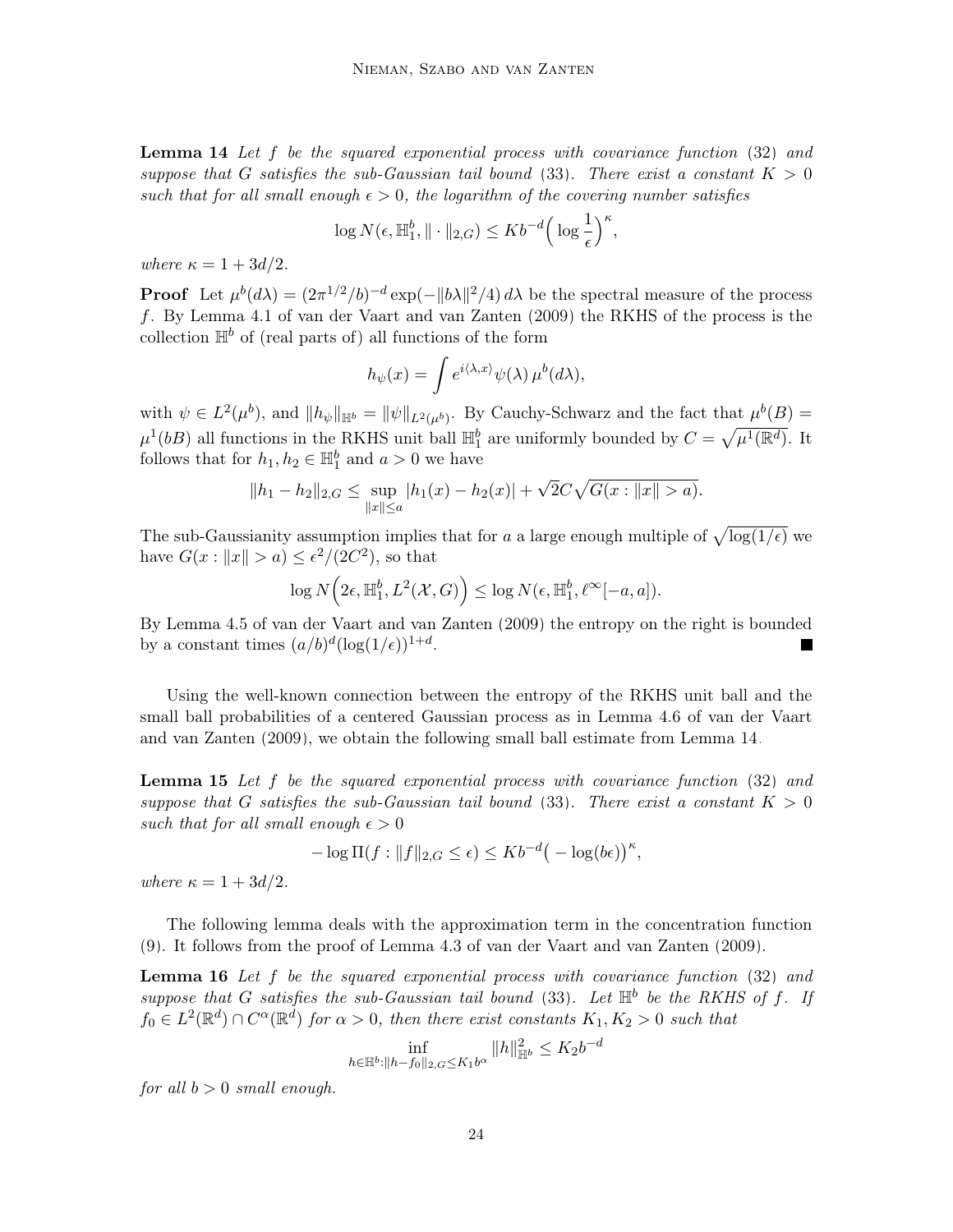**Lemma 14** Let  $f$  be the squared exponential process with covariance function  $(32)$  and suppose that G satisfies the sub-Gaussian tail bound [\(33\)](#page-14-1). There exist a constant  $K > 0$ such that for all small enough  $\epsilon > 0$ , the logarithm of the covering number satisfies

$$
\log N(\epsilon, \mathbb{H}_1^b, \|\cdot\|_{2,G}) \leq Kb^{-d} \Big(\log \frac{1}{\epsilon}\Big)^{\kappa},
$$

where  $\kappa = 1 + 3d/2$ .

**Proof** Let  $\mu^{b}(d\lambda) = (2\pi^{1/2}/b)^{-d} \exp(-\Vert b\lambda \Vert^{2}/4) d\lambda$  be the spectral measure of the process f. By Lemma 4.1 of [van der Vaart and van Zanten](#page-25-8) [\(2009\)](#page-25-8) the RKHS of the process is the collection  $\mathbb{H}^b$  of (real parts of) all functions of the form

$$
h_{\psi}(x) = \int e^{i\langle \lambda, x \rangle} \psi(\lambda) \, \mu^{b}(d\lambda),
$$

with  $\psi \in L^2(\mu^b)$ , and  $||h_{\psi}||_{\mathbb{H}^b} = ||\psi||_{L^2(\mu^b)}$ . By Cauchy-Schwarz and the fact that  $\mu^b(B) =$  $\mu^1(bB)$  all functions in the RKHS unit ball  $\mathbb{H}_1^b$  are uniformly bounded by  $C = \sqrt{\mu^1(\mathbb{R}^d)}$ . It follows that for  $h_1, h_2 \in \mathbb{H}_1^b$  and  $a > 0$  we have

$$
||h_1 - h_2||_{2,G} \le \sup_{||x|| \le a} |h_1(x) - h_2(x)| + \sqrt{2}C\sqrt{G(x : ||x|| > a)}.
$$

The sub-Gaussianity assumption implies that for a a large enough multiple of  $\sqrt{\log(1/\epsilon)}$  we have  $G(x: ||x|| > a) \leq \epsilon^2/(2C^2)$ , so that

$$
\log N\Big(2\epsilon, \mathbb{H}_1^b, L^2(\mathcal{X}, G)\Big) \leq \log N(\epsilon, \mathbb{H}_1^b, \ell^{\infty}[-a, a]).
$$

By Lemma 4.5 of [van der Vaart and van Zanten](#page-25-8) [\(2009\)](#page-25-8) the entropy on the right is bounded by a constant times  $(a/b)^d (\log(1/\epsilon))^{1+d}$ . ш

Using the well-known connection between the entropy of the RKHS unit ball and the small ball probabilities of a centered Gaussian process as in Lemma 4.6 of [van der Vaart](#page-25-8) [and van Zanten](#page-25-8) [\(2009\)](#page-25-8), we obtain the following small ball estimate from Lemma [14.](#page-22-3)

<span id="page-23-0"></span>**Lemma 15** Let f be the squared exponential process with covariance function  $(32)$  and suppose that G satisfies the sub-Gaussian tail bound [\(33\)](#page-14-1). There exist a constant  $K > 0$ such that for all small enough  $\epsilon > 0$ 

$$
-\log \Pi(f: \|f\|_{2,G} \leq \epsilon) \leq Kb^{-d} \big(-\log(b\epsilon)\big)^{\kappa},
$$

where  $\kappa = 1 + 3d/2$ .

The following lemma deals with the approximation term in the concentration function [\(9\)](#page-4-3). It follows from the proof of Lemma 4.3 of [van der Vaart and van Zanten](#page-25-8) [\(2009\)](#page-25-8).

<span id="page-23-1"></span>**Lemma 16** Let f be the squared exponential process with covariance function  $(32)$  and suppose that G satisfies the sub-Gaussian tail bound [\(33\)](#page-14-1). Let  $\mathbb{H}^b$  be the RKHS of f. If  $f_0 \in L^2(\mathbb{R}^d) \cap C^{\alpha}(\mathbb{R}^d)$  for  $\alpha > 0$ , then there exist constants  $K_1, K_2 > 0$  such that

$$
\inf_{h\in\mathbb{H}^b: \|h-f_0\|_{2,G}\leq K_1b^{\alpha}} \|h\|^2_{\mathbb{H}^b} \leq K_2b^{-d}
$$

for all  $b > 0$  small enough.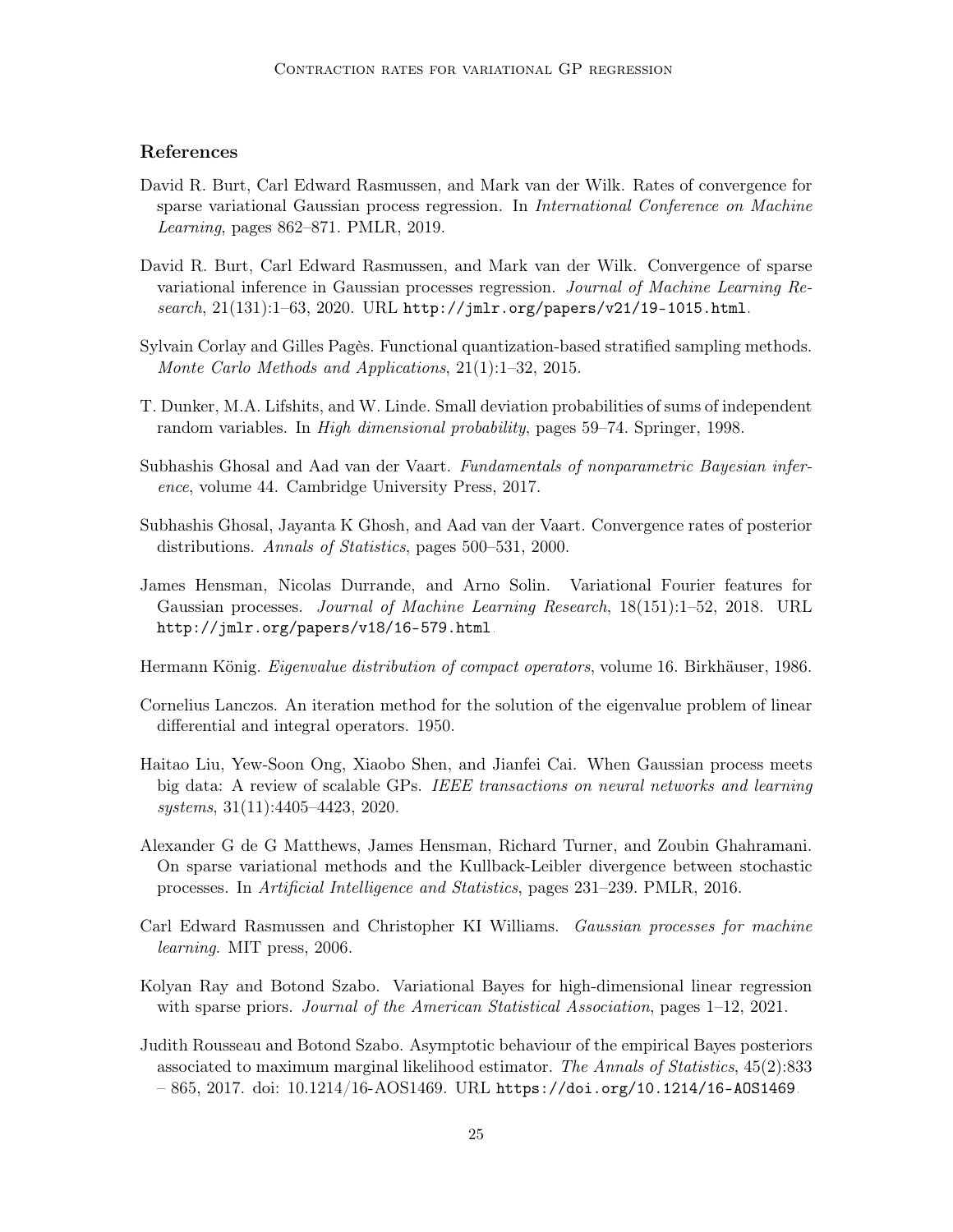# References

- <span id="page-24-3"></span>David R. Burt, Carl Edward Rasmussen, and Mark van der Wilk. Rates of convergence for sparse variational Gaussian process regression. In International Conference on Machine Learning, pages 862–871. PMLR, 2019.
- <span id="page-24-8"></span>David R. Burt, Carl Edward Rasmussen, and Mark van der Wilk. Convergence of sparse variational inference in Gaussian processes regression. Journal of Machine Learning Research, 21(131):1–63, 2020. URL <http://jmlr.org/papers/v21/19-1015.html>.
- <span id="page-24-10"></span>Sylvain Corlay and Gilles Pagès. Functional quantization-based stratified sampling methods. Monte Carlo Methods and Applications, 21(1):1–32, 2015.
- <span id="page-24-11"></span>T. Dunker, M.A. Lifshits, and W. Linde. Small deviation probabilities of sums of independent random variables. In High dimensional probability, pages 59–74. Springer, 1998.
- <span id="page-24-5"></span>Subhashis Ghosal and Aad van der Vaart. Fundamentals of nonparametric Bayesian inference, volume 44. Cambridge University Press, 2017.
- <span id="page-24-12"></span>Subhashis Ghosal, Jayanta K Ghosh, and Aad van der Vaart. Convergence rates of posterior distributions. Annals of Statistics, pages 500–531, 2000.
- <span id="page-24-9"></span>James Hensman, Nicolas Durrande, and Arno Solin. Variational Fourier features for Gaussian processes. Journal of Machine Learning Research, 18(151):1–52, 2018. URL <http://jmlr.org/papers/v18/16-579.html>.
- <span id="page-24-6"></span>Hermann König. Eigenvalue distribution of compact operators, volume 16. Birkhäuser, 1986.
- <span id="page-24-7"></span>Cornelius Lanczos. An iteration method for the solution of the eigenvalue problem of linear differential and integral operators. 1950.
- <span id="page-24-2"></span>Haitao Liu, Yew-Soon Ong, Xiaobo Shen, and Jianfei Cai. When Gaussian process meets big data: A review of scalable GPs. IEEE transactions on neural networks and learning systems, 31(11):4405–4423, 2020.
- <span id="page-24-4"></span>Alexander G de G Matthews, James Hensman, Richard Turner, and Zoubin Ghahramani. On sparse variational methods and the Kullback-Leibler divergence between stochastic processes. In Artificial Intelligence and Statistics, pages 231–239. PMLR, 2016.
- <span id="page-24-0"></span>Carl Edward Rasmussen and Christopher KI Williams. Gaussian processes for machine learning. MIT press, 2006.
- <span id="page-24-13"></span>Kolyan Ray and Botond Szabo. Variational Bayes for high-dimensional linear regression with sparse priors. *Journal of the American Statistical Association*, pages  $1-12$ ,  $2021$ .
- <span id="page-24-1"></span>Judith Rousseau and Botond Szabo. Asymptotic behaviour of the empirical Bayes posteriors associated to maximum marginal likelihood estimator. The Annals of Statistics, 45(2):833  $-865, 2017.$  doi:  $10.1214/16$ -AOS1469. URL https://doi.org/10.1214/16-A0S1469.